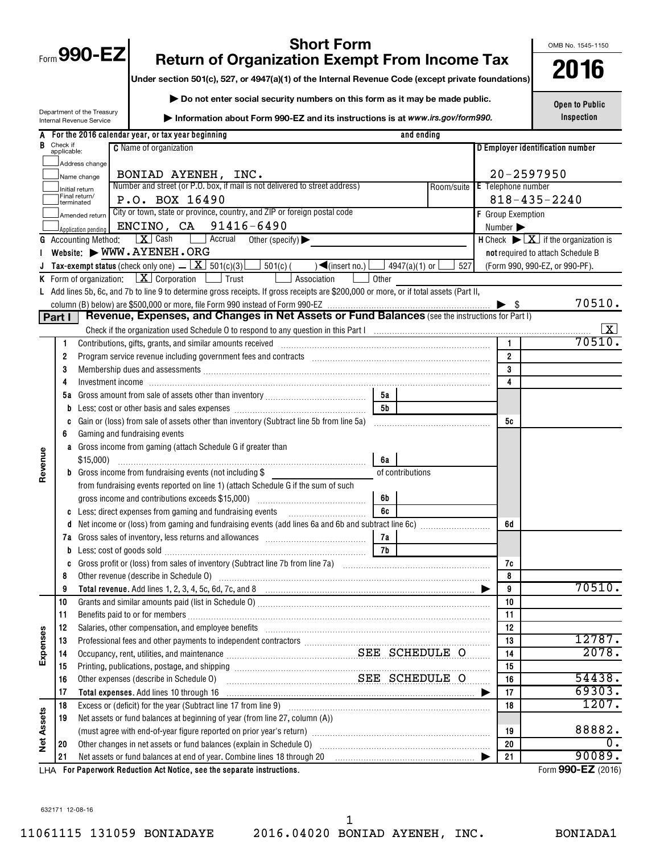| 90-<br>$Form$ ,<br>$\boldsymbol{\omega}$ |
|------------------------------------------|
|------------------------------------------|

OMB No. 1545-1150

# **Short Form**<br>**1990-EXECONDEX COMPUTS FROM INCOME TAX**<br> **1990-EXECONDEX CONSULTS:** 2019-2019 of the Internal Bevenue Code (except private foundations)<br> **2016**

**Under section 501(c), 527, or 4947(a)(1) of the Internal Revenue Code (except private foundations)**

**| Do not enter social security numbers on this form as it may be made public.**

Department of the Treasury Internal Revenue Service

**| Information about Form 990-EZ and its instructions is at**  *www.irs.gov/form990.*

**Open to Public Inspection**

|                   |                         | For the 2016 calendar year, or tax year beginning                                                                                                                                                                             | and ending                       |                |                |                                                                                |
|-------------------|-------------------------|-------------------------------------------------------------------------------------------------------------------------------------------------------------------------------------------------------------------------------|----------------------------------|----------------|----------------|--------------------------------------------------------------------------------|
| В                 | Check if<br>applicable: | <b>C</b> Name of organization                                                                                                                                                                                                 | D Employer identification number |                |                |                                                                                |
|                   |                         | Address change                                                                                                                                                                                                                |                                  |                |                |                                                                                |
|                   |                         | BONIAD AYENEH, INC.<br>Name change                                                                                                                                                                                            |                                  | $20 - 2597950$ |                |                                                                                |
|                   |                         | Number and street (or P.O. box, if mail is not delivered to street address)<br>Initial return                                                                                                                                 | <b>E</b> Telephone number        |                |                |                                                                                |
|                   |                         | Final return/<br>P.O. BOX 16490<br>terminated                                                                                                                                                                                 | $818 - 435 - 2240$               |                |                |                                                                                |
|                   |                         | City or town, state or province, country, and ZIP or foreign postal code<br>Amended return                                                                                                                                    | F Group Exemption                |                |                |                                                                                |
|                   |                         | ENCINO, CA 91416-6490<br>Application pending                                                                                                                                                                                  |                                  |                | Number >       |                                                                                |
|                   |                         | X Cash<br>Accrual<br><b>G</b> Accounting Method:<br>Other (specify) $\blacktriangleright$                                                                                                                                     |                                  |                |                | <b>H</b> Check $\blacktriangleright \boxed{\mathbf{X}}$ if the organization is |
|                   |                         | Website: WWW.AYENEH.ORG                                                                                                                                                                                                       |                                  |                |                | not required to attach Schedule B                                              |
| J                 |                         | <b>Tax-exempt status</b> (check only one) $\Box$ $\Box$ 501(c)(3)<br>501(c) (<br>$\sqrt{(\text{insert no.})}$                                                                                                                 | 4947(a)(1) or $\lfloor$<br>527   |                |                | (Form 990, 990-EZ, or 990-PF).                                                 |
|                   |                         | <b>K</b> Form of organization: $X$ Corporation $\Box$ Trust<br>Association                                                                                                                                                    | Other                            |                |                |                                                                                |
|                   |                         | L Add lines 5b, 6c, and 7b to line 9 to determine gross receipts. If gross receipts are \$200,000 or more, or if total assets (Part II,                                                                                       |                                  |                |                |                                                                                |
|                   |                         |                                                                                                                                                                                                                               |                                  |                |                | 70510.                                                                         |
|                   | Part I                  |                                                                                                                                                                                                                               |                                  |                |                |                                                                                |
|                   |                         |                                                                                                                                                                                                                               |                                  |                |                | ΙX.                                                                            |
|                   | 1                       | Contributions, gifts, grants, and similar amounts received                                                                                                                                                                    |                                  |                | $\mathbf{1}$   | 70510.                                                                         |
|                   | 2                       |                                                                                                                                                                                                                               |                                  |                | $\overline{2}$ |                                                                                |
|                   | 3                       |                                                                                                                                                                                                                               |                                  |                | 3              |                                                                                |
|                   | 4                       |                                                                                                                                                                                                                               |                                  |                | 4              |                                                                                |
|                   | 5a                      |                                                                                                                                                                                                                               | 5а                               |                |                |                                                                                |
|                   | b                       |                                                                                                                                                                                                                               | 5 <sub>b</sub>                   |                |                |                                                                                |
|                   |                         | Gain or (loss) from sale of assets other than inventory (Subtract line 5b from line 5a)                                                                                                                                       |                                  |                | 5с             |                                                                                |
|                   | 6                       | Gaming and fundraising events                                                                                                                                                                                                 |                                  |                |                |                                                                                |
|                   | a                       | Gross income from gaming (attach Schedule G if greater than                                                                                                                                                                   |                                  |                |                |                                                                                |
|                   |                         | \$15,000                                                                                                                                                                                                                      | 6а                               |                |                |                                                                                |
| Revenue           |                         | <b>b</b> Gross income from fundraising events (not including \$                                                                                                                                                               | of contributions                 |                |                |                                                                                |
|                   |                         | from fundraising events reported on line 1) (attach Schedule G if the sum of such                                                                                                                                             |                                  |                |                |                                                                                |
|                   |                         | gross income and contributions exceeds \$15,000)                                                                                                                                                                              | 6b                               |                |                |                                                                                |
|                   |                         | c Less: direct expenses from gaming and fundraising events                                                                                                                                                                    | 6c                               |                |                |                                                                                |
|                   | d                       | Net income or (loss) from gaming and fundraising events (add lines 6a and 6b and subtract line 6c) [[[[[[[[[[                                                                                                                 |                                  |                | 6d             |                                                                                |
|                   |                         |                                                                                                                                                                                                                               | 7а                               |                |                |                                                                                |
|                   | b                       | Less: cost of goods sold with an annual contract of goods sold                                                                                                                                                                | 7b                               |                |                |                                                                                |
|                   |                         |                                                                                                                                                                                                                               |                                  |                | 7c             |                                                                                |
|                   | 8                       | Other revenue (describe in Schedule O) manufactured and content to the schedule O)                                                                                                                                            |                                  |                | 8              |                                                                                |
|                   | 9                       | Total revenue. Add lines 1, 2, 3, 4, 5c, 6d, 7c, and 8                                                                                                                                                                        |                                  |                | 9              | 70510.                                                                         |
|                   | 10                      |                                                                                                                                                                                                                               |                                  |                | 10             |                                                                                |
|                   | 11                      |                                                                                                                                                                                                                               |                                  |                | 11             |                                                                                |
|                   | 12                      | Salaries, other compensation, and employee benefits [11] manufactures in the community compensation, and employee benefits [11] manufactures in the community community of the community of the community of the community of |                                  |                | 12             |                                                                                |
| Expenses          | 13                      |                                                                                                                                                                                                                               |                                  |                | 13             | 12787.                                                                         |
|                   | 14                      |                                                                                                                                                                                                                               |                                  |                | 14             | 2078.                                                                          |
|                   | 15                      |                                                                                                                                                                                                                               |                                  |                | 15             |                                                                                |
|                   | 16                      | SEE SCHEDULE O<br>Other expenses (describe in Schedule O)                                                                                                                                                                     |                                  |                | 16             | 54438.                                                                         |
|                   | 17                      |                                                                                                                                                                                                                               |                                  | ▸              | 17             | 69303.                                                                         |
|                   | 18                      |                                                                                                                                                                                                                               |                                  |                | 18             | 1207.                                                                          |
|                   | 19                      | Net assets or fund balances at beginning of year (from line 27, column (A))                                                                                                                                                   |                                  |                |                |                                                                                |
| <b>Net Assets</b> |                         |                                                                                                                                                                                                                               |                                  |                | 19             | 88882.                                                                         |
|                   | 20                      |                                                                                                                                                                                                                               |                                  |                | 20             | 0.                                                                             |
|                   | 21                      | Net assets or fund balances at end of year. Combine lines 18 through 20                                                                                                                                                       |                                  |                | 21             | 90089.                                                                         |
|                   |                         | LHA For Paperwork Reduction Act Notice, see the separate instructions.                                                                                                                                                        |                                  |                |                | Form 990-EZ (2016)                                                             |

632171 12-08-16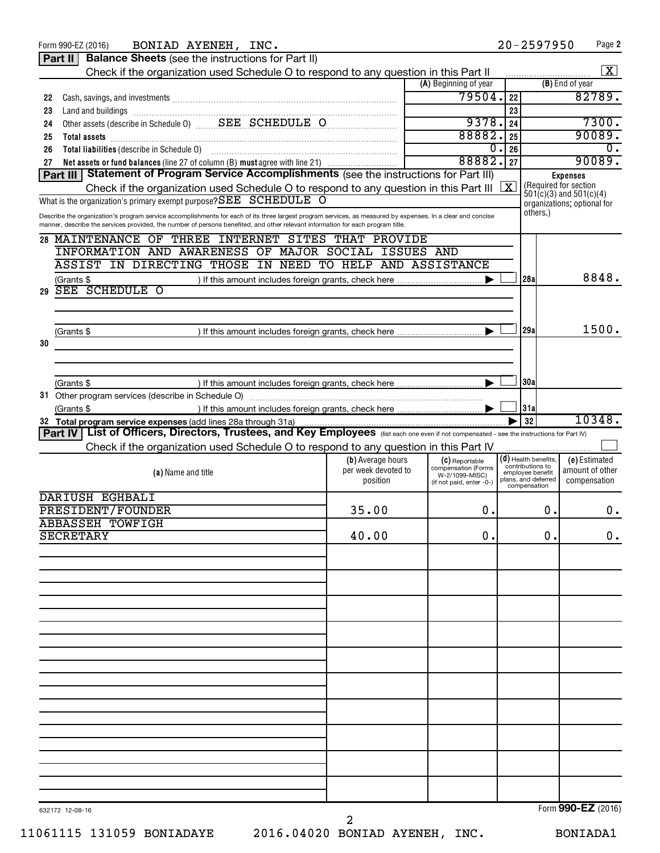| BONIAD AYENEH, INC.<br>Form 990-EZ (2016)                                                                                                                   |                                          |                                            |                         | $20 - 2597950$                       | Page 2                                                     |
|-------------------------------------------------------------------------------------------------------------------------------------------------------------|------------------------------------------|--------------------------------------------|-------------------------|--------------------------------------|------------------------------------------------------------|
| <b>Balance Sheets</b> (see the instructions for Part II)<br>Part II                                                                                         |                                          |                                            |                         |                                      |                                                            |
| Check if the organization used Schedule O to respond to any question in this Part II                                                                        |                                          |                                            |                         |                                      | X                                                          |
|                                                                                                                                                             |                                          | (A) Beginning of year                      |                         |                                      | (B) End of year                                            |
| 22                                                                                                                                                          |                                          | 79504.                                     | 22                      |                                      | 82789.                                                     |
| 23                                                                                                                                                          |                                          |                                            | 23                      |                                      |                                                            |
| 24                                                                                                                                                          |                                          | 9378.                                      | 24                      |                                      | 7300.                                                      |
| 25                                                                                                                                                          |                                          | 88882.                                     | 25                      |                                      | 90089.                                                     |
| 26                                                                                                                                                          |                                          | 0                                          | 26                      |                                      | 0.                                                         |
| Net assets or fund balances (line 27 of column (B) must agree with line 21)<br>27                                                                           |                                          | 88882.                                     | 27                      |                                      | 90089.                                                     |
| Part III   Statement of Program Service Accomplishments (see the instructions for Part III)                                                                 |                                          |                                            |                         |                                      | <b>Expenses</b>                                            |
| Check if the organization used Schedule O to respond to any question in this Part III                                                                       |                                          |                                            | $\overline{\mathbf{x}}$ |                                      | (Required for section                                      |
| What is the organization's primary exempt purpose? SEE SCHEDULE O                                                                                           |                                          |                                            |                         |                                      | $501(c)(3)$ and $501(c)(4)$<br>organizations; optional for |
| Describe the organization's program service accomplishments for each of its three largest program services, as measured by expenses. In a clear and concise |                                          |                                            |                         | others.)                             |                                                            |
| manner, describe the services provided, the number of persons benefited, and other relevant information for each program title.                             |                                          |                                            |                         |                                      |                                                            |
| THREE INTERNET SITES THAT PROVIDE<br>28 MAINTENANCE OF                                                                                                      |                                          |                                            |                         |                                      |                                                            |
| <b>INFORMATION AND AWARENESS OF</b><br>MAJOR SOCIAL                                                                                                         | ISSUES AND                               |                                            |                         |                                      |                                                            |
| <b>ASSIST IN DIRECTING THOSE</b>                                                                                                                            | IN NEED TO HELP AND ASSISTANCE           |                                            |                         |                                      |                                                            |
| (Grants \$                                                                                                                                                  |                                          |                                            |                         | 28a                                  | 8848.                                                      |
| SEE SCHEDULE O<br>29                                                                                                                                        |                                          |                                            |                         |                                      |                                                            |
|                                                                                                                                                             |                                          |                                            |                         |                                      |                                                            |
|                                                                                                                                                             |                                          |                                            |                         |                                      |                                                            |
| (Grants \$                                                                                                                                                  |                                          |                                            |                         | 29a                                  | 1500.                                                      |
| 30                                                                                                                                                          |                                          |                                            |                         |                                      |                                                            |
|                                                                                                                                                             |                                          |                                            |                         |                                      |                                                            |
|                                                                                                                                                             |                                          |                                            |                         |                                      |                                                            |
| (Grants \$                                                                                                                                                  |                                          |                                            |                         | 30a                                  |                                                            |
|                                                                                                                                                             |                                          |                                            |                         |                                      |                                                            |
| (Grants \$                                                                                                                                                  |                                          |                                            |                         | 31a                                  |                                                            |
| 32 Total program service expenses (add lines 28a through 31a)                                                                                               |                                          |                                            |                         | 32                                   | 10348.                                                     |
|                                                                                                                                                             |                                          |                                            |                         |                                      |                                                            |
|                                                                                                                                                             |                                          |                                            |                         |                                      |                                                            |
| Part IV   List of Officers, Directors, Trustees, and Key Employees (list each one even if not compensated - see the instructions for Part IV)               |                                          |                                            |                         |                                      |                                                            |
| Check if the organization used Schedule O to respond to any question in this Part IV                                                                        |                                          |                                            |                         | $(\mathsf{d})$ Health benefits,      |                                                            |
|                                                                                                                                                             | (b) Average hours<br>per week devoted to | (C) Reportable<br>compensation (Forms      |                         | contributions to<br>employee benefit | (e) Estimated<br>amount of other                           |
| (a) Name and title                                                                                                                                          | position                                 | W-2/1099-MISC)<br>(if not paid, enter -0-) |                         | plans, and deferred<br>compensation  | compensation                                               |
| DARIUSH EGHBALI                                                                                                                                             |                                          |                                            |                         |                                      |                                                            |
| PRESIDENT/FOUNDER                                                                                                                                           | 35.00                                    | 0.                                         |                         | 0.                                   |                                                            |
|                                                                                                                                                             |                                          |                                            |                         |                                      | 0.                                                         |
| <b>ABBASSEH TOWFIGH</b><br><b>SECRETARY</b>                                                                                                                 |                                          | 0.                                         |                         | 0.                                   |                                                            |
|                                                                                                                                                             | 40.00                                    |                                            |                         |                                      | $\mathbf 0$ .                                              |
|                                                                                                                                                             |                                          |                                            |                         |                                      |                                                            |
|                                                                                                                                                             |                                          |                                            |                         |                                      |                                                            |
|                                                                                                                                                             |                                          |                                            |                         |                                      |                                                            |
|                                                                                                                                                             |                                          |                                            |                         |                                      |                                                            |
|                                                                                                                                                             |                                          |                                            |                         |                                      |                                                            |
|                                                                                                                                                             |                                          |                                            |                         |                                      |                                                            |
|                                                                                                                                                             |                                          |                                            |                         |                                      |                                                            |
|                                                                                                                                                             |                                          |                                            |                         |                                      |                                                            |
|                                                                                                                                                             |                                          |                                            |                         |                                      |                                                            |
|                                                                                                                                                             |                                          |                                            |                         |                                      |                                                            |
|                                                                                                                                                             |                                          |                                            |                         |                                      |                                                            |
|                                                                                                                                                             |                                          |                                            |                         |                                      |                                                            |
|                                                                                                                                                             |                                          |                                            |                         |                                      |                                                            |
|                                                                                                                                                             |                                          |                                            |                         |                                      |                                                            |
|                                                                                                                                                             |                                          |                                            |                         |                                      |                                                            |
|                                                                                                                                                             |                                          |                                            |                         |                                      |                                                            |
|                                                                                                                                                             |                                          |                                            |                         |                                      |                                                            |
|                                                                                                                                                             |                                          |                                            |                         |                                      |                                                            |
|                                                                                                                                                             |                                          |                                            |                         |                                      |                                                            |
| 632172 12-08-16                                                                                                                                             |                                          |                                            |                         |                                      | Form 990-EZ (2016)                                         |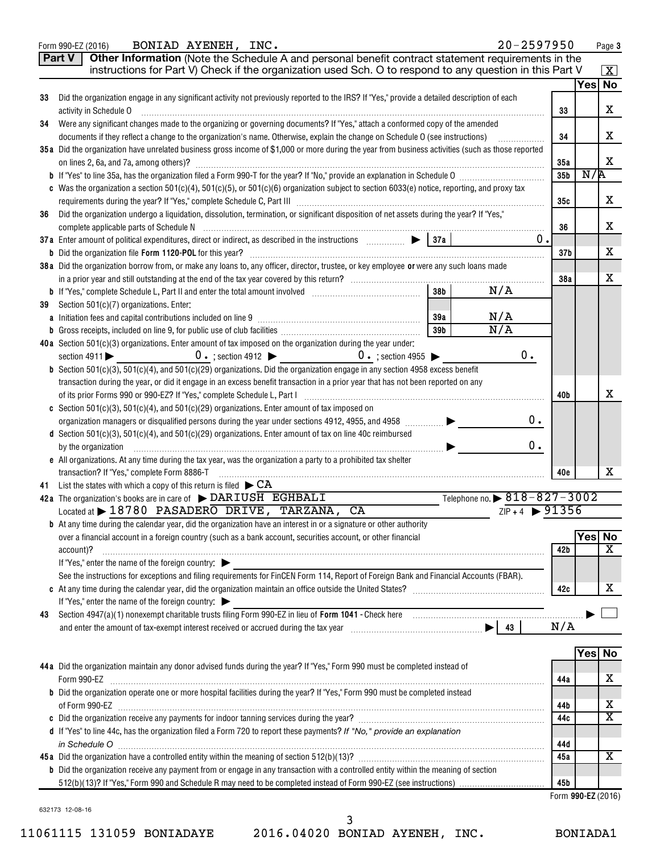|    | BONIAD AYENEH, INC.<br>Form 990-EZ (2016)                                                                                                                  |                 |                                                 | 20-2597950                    |                 |        | Page 3                  |
|----|------------------------------------------------------------------------------------------------------------------------------------------------------------|-----------------|-------------------------------------------------|-------------------------------|-----------------|--------|-------------------------|
|    | Other Information (Note the Schedule A and personal benefit contract statement requirements in the<br><b>Part V</b>                                        |                 |                                                 |                               |                 |        |                         |
|    | instructions for Part V) Check if the organization used Sch. O to respond to any question in this Part V                                                   |                 |                                                 |                               |                 |        | $\boxed{\textbf{X}}$    |
|    |                                                                                                                                                            |                 |                                                 |                               |                 | Yes No |                         |
| 33 | Did the organization engage in any significant activity not previously reported to the IRS? If "Yes," provide a detailed description of each               |                 |                                                 |                               |                 |        |                         |
|    | activity in Schedule O                                                                                                                                     |                 |                                                 |                               | 33              |        | x                       |
| 34 | Were any significant changes made to the organizing or governing documents? If "Yes," attach a conformed copy of the amended                               |                 |                                                 |                               |                 |        |                         |
|    | documents if they reflect a change to the organization's name. Otherwise, explain the change on Schedule O (see instructions)                              |                 |                                                 |                               | 34              |        | x                       |
|    | 35a Did the organization have unrelated business gross income of \$1,000 or more during the year from business activities (such as those reported          |                 |                                                 |                               |                 |        |                         |
|    |                                                                                                                                                            |                 |                                                 |                               | 35a             |        | X                       |
|    |                                                                                                                                                            |                 |                                                 |                               | 35 <sub>b</sub> | N/R    |                         |
|    | c Was the organization a section 501(c)(4), 501(c)(5), or 501(c)(6) organization subject to section 6033(e) notice, reporting, and proxy tax               |                 |                                                 |                               |                 |        |                         |
|    |                                                                                                                                                            |                 |                                                 |                               | 35с             |        | x                       |
| 36 | Did the organization undergo a liquidation, dissolution, termination, or significant disposition of net assets during the year? If "Yes,"                  |                 |                                                 |                               |                 |        |                         |
|    |                                                                                                                                                            |                 |                                                 |                               | 36              |        | x                       |
|    | 37a Enter amount of political expenditures, direct or indirect, as described in the instructions $\Box$ $\Box$ $\Box$ 37a                                  |                 |                                                 | 0.                            |                 |        |                         |
|    |                                                                                                                                                            |                 |                                                 |                               | 37 <sub>b</sub> |        | х                       |
|    | 38a Did the organization borrow from, or make any loans to, any officer, director, trustee, or key employee or were any such loans made                    |                 |                                                 |                               |                 |        | X                       |
|    |                                                                                                                                                            | 38 <sub>b</sub> | N/A                                             |                               | 38a             |        |                         |
| 39 | Section 501(c)(7) organizations. Enter:                                                                                                                    |                 |                                                 |                               |                 |        |                         |
|    |                                                                                                                                                            | 39a             | N/A                                             |                               |                 |        |                         |
|    |                                                                                                                                                            | 39 <sub>b</sub> | $\overline{N/A}$                                |                               |                 |        |                         |
|    | 40a Section 501(c)(3) organizations. Enter amount of tax imposed on the organization during the year under:                                                |                 |                                                 |                               |                 |        |                         |
|    | $0 \cdot$ ; section 4912 $\triangleright$ $0 \cdot$ ; section 4955 $\triangleright$<br>section $4911$                                                      |                 |                                                 | $0$ .                         |                 |        |                         |
|    | <b>b</b> Section 501(c)(3), 501(c)(4), and 501(c)(29) organizations. Did the organization engage in any section 4958 excess benefit                        |                 |                                                 |                               |                 |        |                         |
|    | transaction during the year, or did it engage in an excess benefit transaction in a prior year that has not been reported on any                           |                 |                                                 |                               |                 |        |                         |
|    | of its prior Forms 990 or 990-EZ? If "Yes," complete Schedule L, Part I [1] [1] [1] [1] [1] [1] [1] [1] [1] [1                                             |                 |                                                 |                               | 40b             |        | х                       |
|    | c Section 501(c)(3), 501(c)(4), and 501(c)(29) organizations. Enter amount of tax imposed on                                                               |                 |                                                 |                               |                 |        |                         |
|    | organization managers or disqualified persons during the year under sections 4912, 4955, and 4958 [                                                        |                 |                                                 | 0.                            |                 |        |                         |
|    | d Section 501(c)(3), 501(c)(4), and 501(c)(29) organizations. Enter amount of tax on line 40c reimbursed                                                   |                 |                                                 |                               |                 |        |                         |
|    | by the organization                                                                                                                                        |                 |                                                 | $0$ .                         |                 |        |                         |
|    | e All organizations. At any time during the tax year, was the organization a party to a prohibited tax shelter                                             |                 |                                                 |                               |                 |        |                         |
|    | transaction? If "Yes," complete Form 8886-T                                                                                                                |                 |                                                 |                               | 40e             |        | x                       |
|    | 41 List the states with which a copy of this return is filed $\blacktriangleright$ CA                                                                      |                 |                                                 |                               |                 |        |                         |
|    | 42a The organization's books are in care of $\blacktriangleright$ DARIUSH EGHBALI<br>Located at $\blacktriangleright$ 18780 PASADERO DRIVE, TARZANA,<br>CA |                 | Telephone no. $\triangleright$ 818 - 827 - 3002 | $ZIP + 4$ $\rightarrow$ 91356 |                 |        |                         |
|    | <b>b</b> At any time during the calendar year, did the organization have an interest in or a signature or other authority                                  |                 |                                                 |                               |                 |        |                         |
|    | over a financial account in a foreign country (such as a bank account, securities account, or other financial                                              |                 |                                                 |                               |                 | Yes No |                         |
|    | account)?                                                                                                                                                  |                 |                                                 |                               | 42b             |        | х                       |
|    | If "Yes," enter the name of the foreign country:                                                                                                           |                 |                                                 |                               |                 |        |                         |
|    | See the instructions for exceptions and filing requirements for FinCEN Form 114, Report of Foreign Bank and Financial Accounts (FBAR).                     |                 |                                                 |                               |                 |        |                         |
|    |                                                                                                                                                            |                 |                                                 |                               | 42c             |        | х                       |
|    | If "Yes," enter the name of the foreign country:                                                                                                           |                 |                                                 |                               |                 |        |                         |
| 43 |                                                                                                                                                            |                 |                                                 |                               |                 |        |                         |
|    |                                                                                                                                                            |                 |                                                 |                               | N/A             |        |                         |
|    |                                                                                                                                                            |                 |                                                 |                               |                 |        |                         |
|    |                                                                                                                                                            |                 |                                                 |                               |                 |        | Yes No                  |
|    | 44a Did the organization maintain any donor advised funds during the year? If "Yes," Form 990 must be completed instead of                                 |                 |                                                 |                               |                 |        |                         |
|    | Form 990-EZ                                                                                                                                                |                 |                                                 |                               | 44a             |        | х                       |
|    | b Did the organization operate one or more hospital facilities during the year? If "Yes," Form 990 must be completed instead                               |                 |                                                 |                               |                 |        | x                       |
|    |                                                                                                                                                            |                 |                                                 |                               | 44b<br>44c      |        | $\overline{\texttt{x}}$ |
|    | d If "Yes" to line 44c, has the organization filed a Form 720 to report these payments? If "No," provide an explanation                                    |                 |                                                 |                               |                 |        |                         |
|    |                                                                                                                                                            |                 |                                                 |                               | 44d             |        |                         |
|    |                                                                                                                                                            |                 |                                                 |                               | 45a             |        | X                       |
|    | <b>b</b> Did the organization receive any payment from or engage in any transaction with a controlled entity within the meaning of section                 |                 |                                                 |                               |                 |        |                         |
|    |                                                                                                                                                            |                 |                                                 |                               | 45b             |        |                         |
|    |                                                                                                                                                            |                 |                                                 |                               |                 |        | Form 990-EZ (2016)      |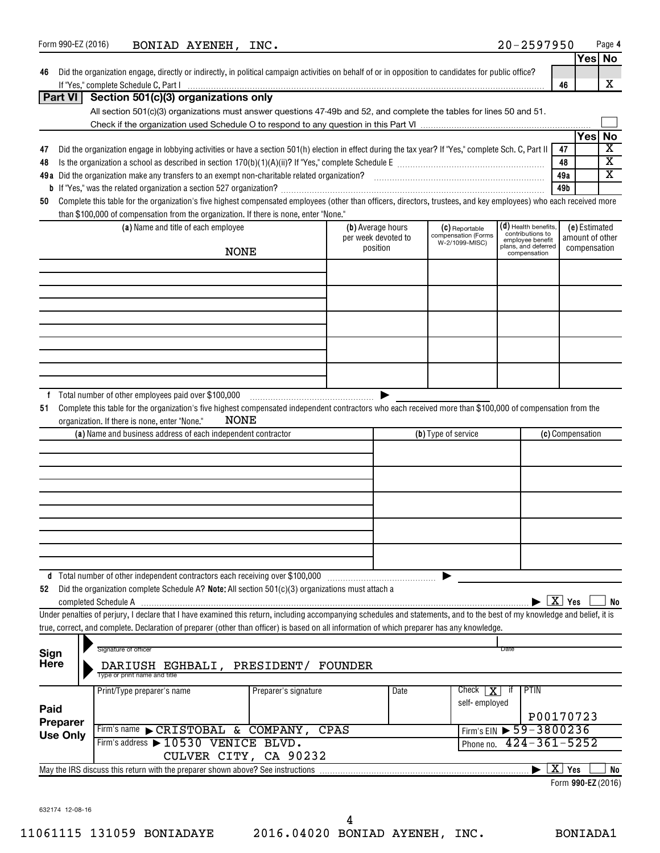| Form 990-EZ (2016) | BONIAD AYENEH, INC.                                                                                                                                                                  |                      |                     |      |                                       | $20 - 2597950$                       |                        |                    | Page 4                        |
|--------------------|--------------------------------------------------------------------------------------------------------------------------------------------------------------------------------------|----------------------|---------------------|------|---------------------------------------|--------------------------------------|------------------------|--------------------|-------------------------------|
|                    |                                                                                                                                                                                      |                      |                     |      |                                       |                                      |                        |                    | Yes No                        |
| 46                 | Did the organization engage, directly or indirectly, in political campaign activities on behalf of or in opposition to candidates for public office?                                 |                      |                     |      |                                       |                                      | 46                     |                    | x                             |
| Part VI            | Section 501(c)(3) organizations only                                                                                                                                                 |                      |                     |      |                                       |                                      |                        |                    |                               |
|                    | All section 501(c)(3) organizations must answer questions 47-49b and 52, and complete the tables for lines 50 and 51.                                                                |                      |                     |      |                                       |                                      |                        |                    |                               |
|                    |                                                                                                                                                                                      |                      |                     |      |                                       |                                      |                        |                    |                               |
|                    |                                                                                                                                                                                      |                      |                     |      |                                       |                                      |                        | <b>Yes</b>         | No<br>$\overline{\mathbf{X}}$ |
| 47<br>48           | Did the organization engage in lobbying activities or have a section 501(h) election in effect during the tax year? If "Yes," complete Sch. C, Part II                               |                      |                     |      |                                       |                                      | 47<br>48               |                    | $\overline{\mathbf{X}}$       |
|                    |                                                                                                                                                                                      |                      |                     |      |                                       |                                      | 49a                    |                    | $\overline{\mathbf{X}}$       |
|                    |                                                                                                                                                                                      |                      |                     |      |                                       |                                      | 49b                    |                    |                               |
| 50                 | Complete this table for the organization's five highest compensated employees (other than officers, directors, trustees, and key employees) who each received more                   |                      |                     |      |                                       |                                      |                        |                    |                               |
|                    | than \$100,000 of compensation from the organization. If there is none, enter "None."<br>(a) Name and title of each employee                                                         |                      | (b) Average hours   |      | (C) Reportable                        | $(d)$ Health benefits,               |                        | (e) Estimated      |                               |
|                    |                                                                                                                                                                                      |                      | per week devoted to |      | compensation (Forms<br>W-2/1099-MISC) | contributions to<br>employee benefit |                        | amount of other    |                               |
|                    | <b>NONE</b>                                                                                                                                                                          |                      | position            |      |                                       | plans, and deferred<br>compensation  |                        | compensation       |                               |
|                    |                                                                                                                                                                                      |                      |                     |      |                                       |                                      |                        |                    |                               |
|                    |                                                                                                                                                                                      |                      |                     |      |                                       |                                      |                        |                    |                               |
|                    |                                                                                                                                                                                      |                      |                     |      |                                       |                                      |                        |                    |                               |
|                    |                                                                                                                                                                                      |                      |                     |      |                                       |                                      |                        |                    |                               |
|                    |                                                                                                                                                                                      |                      |                     |      |                                       |                                      |                        |                    |                               |
|                    |                                                                                                                                                                                      |                      |                     |      |                                       |                                      |                        |                    |                               |
|                    |                                                                                                                                                                                      |                      |                     |      |                                       |                                      |                        |                    |                               |
|                    |                                                                                                                                                                                      |                      |                     |      |                                       |                                      |                        |                    |                               |
|                    |                                                                                                                                                                                      |                      |                     |      |                                       |                                      |                        |                    |                               |
| 51                 | Complete this table for the organization's five highest compensated independent contractors who each received more than \$100,000 of compensation from the                           |                      |                     |      |                                       |                                      |                        |                    |                               |
|                    | <b>NONE</b><br>organization. If there is none, enter "None."                                                                                                                         |                      |                     |      |                                       |                                      |                        |                    |                               |
|                    | (a) Name and business address of each independent contractor                                                                                                                         |                      |                     |      | (b) Type of service                   |                                      |                        | (c) Compensation   |                               |
|                    |                                                                                                                                                                                      |                      |                     |      |                                       |                                      |                        |                    |                               |
|                    |                                                                                                                                                                                      |                      |                     |      |                                       |                                      |                        |                    |                               |
|                    |                                                                                                                                                                                      |                      |                     |      |                                       |                                      |                        |                    |                               |
|                    |                                                                                                                                                                                      |                      |                     |      |                                       |                                      |                        |                    |                               |
|                    |                                                                                                                                                                                      |                      |                     |      |                                       |                                      |                        |                    |                               |
|                    |                                                                                                                                                                                      |                      |                     |      |                                       |                                      |                        |                    |                               |
|                    |                                                                                                                                                                                      |                      |                     |      |                                       |                                      |                        |                    |                               |
|                    |                                                                                                                                                                                      |                      |                     |      |                                       |                                      |                        |                    |                               |
| 52                 | d Total number of other independent contractors each receiving over \$100,000<br>Did the organization complete Schedule A? Note: All section $501(c)(3)$ organizations must attach a |                      |                     |      |                                       |                                      |                        |                    |                               |
|                    |                                                                                                                                                                                      |                      |                     |      |                                       |                                      | $\boxed{\text{X}}$ Yes |                    | No                            |
|                    | Under penalties of perjury, I declare that I have examined this return, including accompanying schedules and statements, and to the best of my knowledge and belief, it is           |                      |                     |      |                                       |                                      |                        |                    |                               |
|                    | true, correct, and complete. Declaration of preparer (other than officer) is based on all information of which preparer has any knowledge.                                           |                      |                     |      |                                       |                                      |                        |                    |                               |
| Sign               | Signature of officer                                                                                                                                                                 |                      |                     |      |                                       | Date                                 |                        |                    |                               |
| <b>Here</b>        | DARIUSH EGHBALI, PRESIDENT/                                                                                                                                                          |                      | FOUNDER             |      |                                       |                                      |                        |                    |                               |
|                    | Type or print name and title                                                                                                                                                         |                      |                     |      |                                       |                                      |                        |                    |                               |
|                    | Print/Type preparer's name                                                                                                                                                           | Preparer's signature |                     | Date | Check<br>l X-                         | PTIN<br>ा                            |                        |                    |                               |
| Paid               |                                                                                                                                                                                      |                      |                     |      | self-employed                         |                                      |                        |                    |                               |
| Preparer           | Firm's name CRISTOBAL & COMPANY, CPAS                                                                                                                                                |                      |                     |      | Firm's EIN                            | $\blacktriangleright$ 59-3800236     |                        | P00170723          |                               |
| <b>Use Only</b>    | Firm's address > 10530 VENICE BLVD.                                                                                                                                                  |                      |                     |      | Phone no.                             | $424 - 361 - 5252$                   |                        |                    |                               |
|                    | CULVER CITY, CA 90232                                                                                                                                                                |                      |                     |      |                                       |                                      |                        |                    |                               |
|                    | May the IRS discuss this return with the preparer shown above? See instructions                                                                                                      |                      |                     |      |                                       |                                      |                        | $\overline{X}$ Yes | No                            |
|                    |                                                                                                                                                                                      |                      |                     |      |                                       |                                      |                        | Form 990-EZ (2016) |                               |
|                    |                                                                                                                                                                                      |                      |                     |      |                                       |                                      |                        |                    |                               |

632174 12-08-16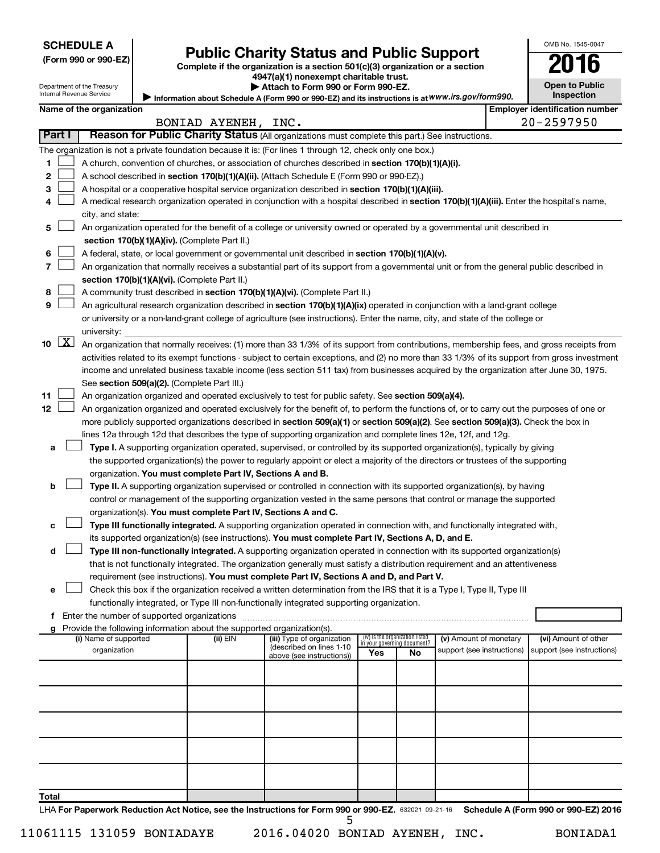| <b>SCHEDULE A</b> |  |
|-------------------|--|
|-------------------|--|

### **Public Charity Status and Public Support**

**(Form 990 or 990-EZ) Complete if the organization is a section 501(c)(3) organization or a section**

| <b>Open to Public</b> |  |
|-----------------------|--|
| <b>Inspection</b>     |  |

OMB No. 1545-0047

| Department of the Treasury<br><b>Internal Revenue Service</b>                                             |                                       |                          | 4947(a)(1) nonexempt charitable trust.<br>Attach to Form 990 or Form 990-EZ.<br>Information about Schedule A (Form 990 or 990-EZ) and its instructions is at WWW.irs.gov/form990. | <b>Open to Public</b><br>Inspection |                                       |  |  |  |
|-----------------------------------------------------------------------------------------------------------|---------------------------------------|--------------------------|-----------------------------------------------------------------------------------------------------------------------------------------------------------------------------------|-------------------------------------|---------------------------------------|--|--|--|
|                                                                                                           |                                       | Name of the organization |                                                                                                                                                                                   |                                     | <b>Employer identification number</b> |  |  |  |
|                                                                                                           | $20 - 2597950$<br>BONIAD AYENEH, INC. |                          |                                                                                                                                                                                   |                                     |                                       |  |  |  |
| Reason for Public Charity Status (All organizations must complete this part.) See instructions.<br>Part I |                                       |                          |                                                                                                                                                                                   |                                     |                                       |  |  |  |
|                                                                                                           |                                       |                          | The organization is not a private foundation because it is: (For lines 1 through 12, check only one box.)                                                                         |                                     |                                       |  |  |  |
|                                                                                                           |                                       |                          | A church, convention of churches, or association of churches described in section 170(b)(1)(A)(i).                                                                                |                                     |                                       |  |  |  |
| 2                                                                                                         |                                       |                          | A school described in section 170(b)(1)(A)(ii). (Attach Schedule E (Form 990 or 990-EZ).)                                                                                         |                                     |                                       |  |  |  |
| 3                                                                                                         |                                       |                          | A hospital or a cooperative hospital service organization described in section 170(b)(1)(A)(iii).                                                                                 |                                     |                                       |  |  |  |
|                                                                                                           |                                       |                          | A medical research organization operated in conjunction with a hospital described in section 170(b)(1)(A)(iii). Enter the hospital's name,                                        |                                     |                                       |  |  |  |
|                                                                                                           |                                       | city, and state:         |                                                                                                                                                                                   |                                     |                                       |  |  |  |
| 5                                                                                                         |                                       |                          | An organization operated for the benefit of a college or university owned or operated by a governmental unit described in                                                         |                                     |                                       |  |  |  |
|                                                                                                           |                                       |                          | section 170(b)(1)(A)(iv). (Complete Part II.)                                                                                                                                     |                                     |                                       |  |  |  |
| 6                                                                                                         |                                       |                          | A federal, state, or local government or governmental unit described in section 170(b)(1)(A)(v).                                                                                  |                                     |                                       |  |  |  |
|                                                                                                           |                                       |                          | An organization that normally receives a substantial part of its support from a governmental unit or from the general public described in                                         |                                     |                                       |  |  |  |
|                                                                                                           |                                       |                          | section 170(b)(1)(A)(vi). (Complete Part II.)                                                                                                                                     |                                     |                                       |  |  |  |
| 8                                                                                                         |                                       |                          | A community trust described in section 170(b)(1)(A)(vi). (Complete Part II.)                                                                                                      |                                     |                                       |  |  |  |
| 9                                                                                                         |                                       |                          | An agricultural research organization described in section 170(b)(1)(A)(ix) operated in conjunction with a land-grant college                                                     |                                     |                                       |  |  |  |
|                                                                                                           |                                       |                          | or university or a non-land-grant college of agriculture (see instructions). Enter the name, city, and state of the college or                                                    |                                     |                                       |  |  |  |
|                                                                                                           |                                       | university:              |                                                                                                                                                                                   |                                     |                                       |  |  |  |
| 10                                                                                                        | $\lfloor x \rfloor$                   |                          | An organization that normally receives: (1) more than 33 1/3% of its support from contributions, membership fees, and gross receipts from                                         |                                     |                                       |  |  |  |
|                                                                                                           |                                       |                          | activities related to its exempt functions - subject to certain exceptions, and (2) no more than 33 1/3% of its support from gross investment                                     |                                     |                                       |  |  |  |
|                                                                                                           |                                       |                          | income and unrelated business taxable income (less section 511 tax) from businesses acquired by the organization after June 30, 1975.                                             |                                     |                                       |  |  |  |

**11** An organization organized and operated exclusively to test for public safety. See **section 509(a)(4).**  $\begin{array}{c} \hline \end{array}$ 

**12** more publicly supported organizations described in **section 509(a)(1)** or section 509(a)(2). See section 509(a)(3). Check the box in An organization organized and operated exclusively for the benefit of, to perform the functions of, or to carry out the purposes of one or lines 12a through 12d that describes the type of supporting organization and complete lines 12e, 12f, and 12g.  $\begin{array}{c} \hline \end{array}$ 

**a Type I.** A supporting organization operated, supervised, or controlled by its supported organization(s), typically by giving organization. You must complete Part IV, Sections A and B. the supported organization(s) the power to regularly appoint or elect a majority of the directors or trustees of the supporting

|  | <b>b</b> $\Box$ Type II. A supporting organization supervised or controlled in connection with its supported organization(s), by having |
|--|-----------------------------------------------------------------------------------------------------------------------------------------|
|  | control or management of the supporting organization vested in the same persons that control or manage the supported                    |
|  | organization(s). You must complete Part IV, Sections A and C.                                                                           |

**c Type III functionally integrated.** A supporting organization operated in connection with, and functionally integrated with, its supported organization(s) (see instructions). **You must complete Part IV, Sections A, D, and E.**  $\begin{array}{c} \hline \end{array}$ 

**d Type III non-functionally integrated.** A supporting organization operated in connection with its supported organization(s) requirement (see instructions). **You must complete Part IV, Sections A and D, and Part V.** that is not functionally integrated. The organization generally must satisfy a distribution requirement and an attentiveness  $\begin{array}{c} \hline \end{array}$ 

**e** Check this box if the organization received a written determination from the IRS that it is a Type I, Type II, Type III functionally integrated, or Type III non-functionally integrated supporting organization.  $\begin{array}{c} \hline \end{array}$ 

**f** Enter the number of supported organizations ~~~~~~~~~~~~~~~~~~~~~~~~~~~~~~~~~~~~~

See section 509(a)(2). (Complete Part III.)

| Provide the following information about the supported organization(s).<br>g |          |                            |                                                                |     |                                                       |                      |
|-----------------------------------------------------------------------------|----------|----------------------------|----------------------------------------------------------------|-----|-------------------------------------------------------|----------------------|
| (i) Name of supported                                                       | (ii) EIN | (iii) Type of organization | (iv) Is the organization listed<br>in your governing document? |     | (v) Amount of monetary                                | (vi) Amount of other |
| organization                                                                |          | (described on lines 1-10   | Yes                                                            | No. | support (see instructions) support (see instructions) |                      |
|                                                                             |          | above (see instructions))  |                                                                |     |                                                       |                      |
|                                                                             |          |                            |                                                                |     |                                                       |                      |
|                                                                             |          |                            |                                                                |     |                                                       |                      |
|                                                                             |          |                            |                                                                |     |                                                       |                      |
|                                                                             |          |                            |                                                                |     |                                                       |                      |
|                                                                             |          |                            |                                                                |     |                                                       |                      |
|                                                                             |          |                            |                                                                |     |                                                       |                      |
|                                                                             |          |                            |                                                                |     |                                                       |                      |
|                                                                             |          |                            |                                                                |     |                                                       |                      |
|                                                                             |          |                            |                                                                |     |                                                       |                      |
|                                                                             |          |                            |                                                                |     |                                                       |                      |
| <b>Total</b>                                                                |          |                            |                                                                |     |                                                       |                      |

LHA For Paperwork Reduction Act Notice, see the Instructions for Form 990 or 990-EZ. 632021 09-21-16 Schedule A (Form 990 or 990-EZ) 2016  *5*

*11061115 131059 BONIADAYE 2016.04020 BONIAD AYENEH, INC. BONIADA1*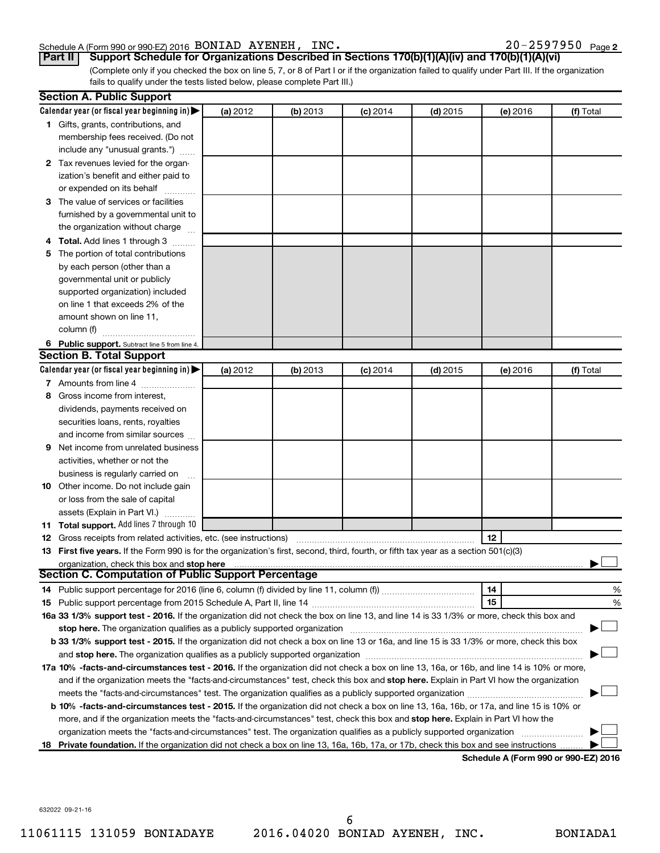#### Schedule A (Form 990 or 990-EZ) 2016 BONIAD AYENEH, INC. 20 20-2597950 Page

20-2597950 Page 2

**Part II** | Support Schedule for Organizations Described in Sections 170(b)(1)(A)(iv) and 170(b)(1)(A)(vi)

(Complete only if you checked the box on line 5, 7, or 8 of Part I or if the organization failed to qualify under Part III. If the organization fails to qualify under the tests listed below, please complete Part III.)

| Calendar year (or fiscal year beginning in)<br>(a) 2012<br>(b) 2013<br>$(c)$ 2014<br>$(d)$ 2015<br>(e) 2016<br>1 Gifts, grants, contributions, and<br>membership fees received. (Do not<br>include any "unusual grants.")<br>2 Tax revenues levied for the organ-<br>ization's benefit and either paid to<br>or expended on its behalf<br>3 The value of services or facilities | (f) Total |
|---------------------------------------------------------------------------------------------------------------------------------------------------------------------------------------------------------------------------------------------------------------------------------------------------------------------------------------------------------------------------------|-----------|
|                                                                                                                                                                                                                                                                                                                                                                                 |           |
|                                                                                                                                                                                                                                                                                                                                                                                 |           |
|                                                                                                                                                                                                                                                                                                                                                                                 |           |
|                                                                                                                                                                                                                                                                                                                                                                                 |           |
|                                                                                                                                                                                                                                                                                                                                                                                 |           |
|                                                                                                                                                                                                                                                                                                                                                                                 |           |
|                                                                                                                                                                                                                                                                                                                                                                                 |           |
|                                                                                                                                                                                                                                                                                                                                                                                 |           |
| furnished by a governmental unit to                                                                                                                                                                                                                                                                                                                                             |           |
| the organization without charge                                                                                                                                                                                                                                                                                                                                                 |           |
| 4 Total. Add lines 1 through 3                                                                                                                                                                                                                                                                                                                                                  |           |
| 5 The portion of total contributions                                                                                                                                                                                                                                                                                                                                            |           |
| by each person (other than a                                                                                                                                                                                                                                                                                                                                                    |           |
| governmental unit or publicly                                                                                                                                                                                                                                                                                                                                                   |           |
| supported organization) included                                                                                                                                                                                                                                                                                                                                                |           |
| on line 1 that exceeds 2% of the                                                                                                                                                                                                                                                                                                                                                |           |
| amount shown on line 11,                                                                                                                                                                                                                                                                                                                                                        |           |
| column (f)                                                                                                                                                                                                                                                                                                                                                                      |           |
| 6 Public support. Subtract line 5 from line 4.                                                                                                                                                                                                                                                                                                                                  |           |
| <b>Section B. Total Support</b>                                                                                                                                                                                                                                                                                                                                                 |           |
| Calendar year (or fiscal year beginning in)<br>(a) 2012<br>(b) 2013<br>$(d)$ 2015<br>$(c)$ 2014<br>(e) 2016                                                                                                                                                                                                                                                                     | (f) Total |
| 7 Amounts from line 4                                                                                                                                                                                                                                                                                                                                                           |           |
| Gross income from interest,<br>8                                                                                                                                                                                                                                                                                                                                                |           |
| dividends, payments received on                                                                                                                                                                                                                                                                                                                                                 |           |
| securities loans, rents, royalties                                                                                                                                                                                                                                                                                                                                              |           |
| and income from similar sources                                                                                                                                                                                                                                                                                                                                                 |           |
| Net income from unrelated business<br>9                                                                                                                                                                                                                                                                                                                                         |           |
| activities, whether or not the                                                                                                                                                                                                                                                                                                                                                  |           |
| business is regularly carried on                                                                                                                                                                                                                                                                                                                                                |           |
| 10 Other income. Do not include gain                                                                                                                                                                                                                                                                                                                                            |           |
| or loss from the sale of capital                                                                                                                                                                                                                                                                                                                                                |           |
| assets (Explain in Part VI.)                                                                                                                                                                                                                                                                                                                                                    |           |
| 11 Total support. Add lines 7 through 10                                                                                                                                                                                                                                                                                                                                        |           |
| 12<br><b>12</b> Gross receipts from related activities, etc. (see instructions)                                                                                                                                                                                                                                                                                                 |           |
| 13 First five years. If the Form 990 is for the organization's first, second, third, fourth, or fifth tax year as a section 501(c)(3)                                                                                                                                                                                                                                           |           |
| organization, check this box and stop here                                                                                                                                                                                                                                                                                                                                      |           |
| <b>Section C. Computation of Public Support Percentage</b>                                                                                                                                                                                                                                                                                                                      |           |
| 14                                                                                                                                                                                                                                                                                                                                                                              | %         |
| 15                                                                                                                                                                                                                                                                                                                                                                              | %         |
| 16a 33 1/3% support test - 2016. If the organization did not check the box on line 13, and line 14 is 33 1/3% or more, check this box and                                                                                                                                                                                                                                       |           |
| stop here. The organization qualifies as a publicly supported organization [11] manuscription [11] manuscription [11] manuscription [11] manuscription [11] manuscription [11] manuscription [11] manuscription [11] manuscrip                                                                                                                                                  |           |
| b 33 1/3% support test - 2015. If the organization did not check a box on line 13 or 16a, and line 15 is 33 1/3% or more, check this box                                                                                                                                                                                                                                        |           |
|                                                                                                                                                                                                                                                                                                                                                                                 |           |
| 17a 10% -facts-and-circumstances test - 2016. If the organization did not check a box on line 13, 16a, or 16b, and line 14 is 10% or more,                                                                                                                                                                                                                                      |           |
| and if the organization meets the "facts-and-circumstances" test, check this box and stop here. Explain in Part VI how the organization                                                                                                                                                                                                                                         |           |
|                                                                                                                                                                                                                                                                                                                                                                                 |           |
| <b>b 10%</b> -facts-and-circumstances test - 2015. If the organization did not check a box on line 13, 16a, 16b, or 17a, and line 15 is 10% or                                                                                                                                                                                                                                  |           |
| more, and if the organization meets the "facts-and-circumstances" test, check this box and <b>stop here.</b> Explain in Part VI how the                                                                                                                                                                                                                                         |           |
| organization meets the "facts-and-circumstances" test. The organization qualifies as a publicly supported organization                                                                                                                                                                                                                                                          |           |
| Private foundation. If the organization did not check a box on line 13, 16a, 16b, 17a, or 17b, check this box and see instructions<br>18<br>Schodule A (Form 990 or 990-F7) 2016                                                                                                                                                                                                |           |

**Schedule A (Form 990 or 990-EZ) 2016**

632022 09-21-16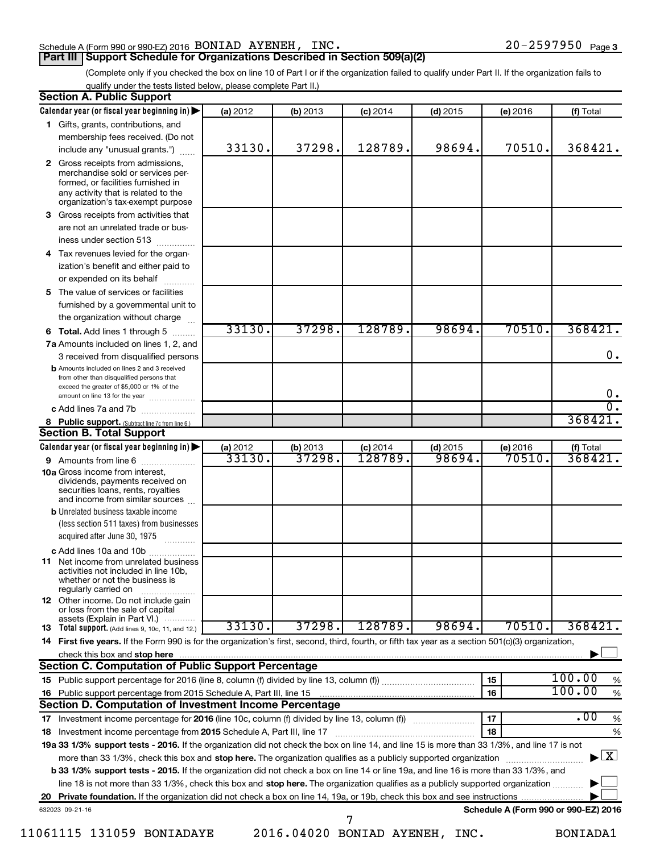#### Schedule A (Form 990 or 990-EZ) 2016 BONIAD AYENEH, INC. 20 200-2597950 Page

(Complete only if you checked the box on line 10 of Part I or if the organization failed to qualify under Part II. If the organization fails to qualify under the tests listed below, please complete Part II.)

| <b>Section A. Public Support</b>                                                                                                                                                         |                   |                    |                       |                      |                                      |                                          |
|------------------------------------------------------------------------------------------------------------------------------------------------------------------------------------------|-------------------|--------------------|-----------------------|----------------------|--------------------------------------|------------------------------------------|
| Calendar year (or fiscal year beginning in)                                                                                                                                              | (a) 2012          | (b) 2013           | $(c)$ 2014            | $(d)$ 2015           | (e) 2016                             | (f) Total                                |
| 1 Gifts, grants, contributions, and                                                                                                                                                      |                   |                    |                       |                      |                                      |                                          |
| membership fees received. (Do not                                                                                                                                                        |                   |                    |                       |                      |                                      |                                          |
| include any "unusual grants.")                                                                                                                                                           | 33130.            | 37298.             | 128789.               | 98694.               | 70510.                               | 368421.                                  |
| 2 Gross receipts from admissions,<br>merchandise sold or services per-<br>formed, or facilities furnished in<br>any activity that is related to the<br>organization's tax-exempt purpose |                   |                    |                       |                      |                                      |                                          |
| 3 Gross receipts from activities that                                                                                                                                                    |                   |                    |                       |                      |                                      |                                          |
| are not an unrelated trade or bus-                                                                                                                                                       |                   |                    |                       |                      |                                      |                                          |
| iness under section 513                                                                                                                                                                  |                   |                    |                       |                      |                                      |                                          |
| 4 Tax revenues levied for the organ-                                                                                                                                                     |                   |                    |                       |                      |                                      |                                          |
| ization's benefit and either paid to<br>or expended on its behalf                                                                                                                        |                   |                    |                       |                      |                                      |                                          |
| 5 The value of services or facilities                                                                                                                                                    |                   |                    |                       |                      |                                      |                                          |
| furnished by a governmental unit to                                                                                                                                                      |                   |                    |                       |                      |                                      |                                          |
| the organization without charge                                                                                                                                                          |                   |                    |                       |                      |                                      |                                          |
| <b>6 Total.</b> Add lines 1 through 5                                                                                                                                                    | 33130.            | 37298.             | 128789.               | 98694.               | 70510.                               | 368421.                                  |
| 7a Amounts included on lines 1, 2, and                                                                                                                                                   |                   |                    |                       |                      |                                      |                                          |
| 3 received from disqualified persons                                                                                                                                                     |                   |                    |                       |                      |                                      | 0.                                       |
| <b>b</b> Amounts included on lines 2 and 3 received<br>from other than disqualified persons that<br>exceed the greater of \$5,000 or 1% of the                                           |                   |                    |                       |                      |                                      |                                          |
| amount on line 13 for the year                                                                                                                                                           |                   |                    |                       |                      |                                      | $0 \cdot$<br>σ.                          |
| c Add lines 7a and 7b                                                                                                                                                                    |                   |                    |                       |                      |                                      | 368421                                   |
| 8 Public support. (Subtract line 7c from line 6.)                                                                                                                                        |                   |                    |                       |                      |                                      |                                          |
| <b>Section B. Total Support</b>                                                                                                                                                          |                   |                    |                       |                      |                                      |                                          |
| Calendar year (or fiscal year beginning in)                                                                                                                                              | (a) 2012<br>33130 | (b) 2013<br>37298. | $(c)$ 2014<br>128789. | $(d)$ 2015<br>98694. | (e) 2016<br>70510.                   | (f) Total<br>368421.                     |
| 9 Amounts from line 6<br><b>10a</b> Gross income from interest,                                                                                                                          |                   |                    |                       |                      |                                      |                                          |
| dividends, payments received on<br>securities loans, rents, royalties<br>and income from similar sources                                                                                 |                   |                    |                       |                      |                                      |                                          |
| <b>b</b> Unrelated business taxable income<br>(less section 511 taxes) from businesses                                                                                                   |                   |                    |                       |                      |                                      |                                          |
| acquired after June 30, 1975                                                                                                                                                             |                   |                    |                       |                      |                                      |                                          |
| c Add lines 10a and 10b                                                                                                                                                                  |                   |                    |                       |                      |                                      |                                          |
| <b>11</b> Net income from unrelated business<br>activities not included in line 10b,<br>whether or not the business is<br>regularly carried on                                           |                   |                    |                       |                      |                                      |                                          |
| <b>12</b> Other income. Do not include gain<br>or loss from the sale of capital                                                                                                          |                   |                    |                       |                      |                                      |                                          |
| assets (Explain in Part VI.)<br><b>13</b> Total support. (Add lines 9, 10c, 11, and 12.)                                                                                                 | 33130.            | 37298.             | 128789.               | 98694.               | 70510.                               | 368421.                                  |
| 14 First five years. If the Form 990 is for the organization's first, second, third, fourth, or fifth tax year as a section 501(c)(3) organization,                                      |                   |                    |                       |                      |                                      |                                          |
| check this box and stop here                                                                                                                                                             |                   |                    |                       |                      |                                      |                                          |
| <b>Section C. Computation of Public Support Percentage</b>                                                                                                                               |                   |                    |                       |                      |                                      |                                          |
|                                                                                                                                                                                          |                   |                    |                       |                      | 15                                   | 100.00<br>%                              |
| 16 Public support percentage from 2015 Schedule A, Part III, line 15                                                                                                                     |                   |                    |                       |                      | 16                                   | 100.00<br>$\%$                           |
| Section D. Computation of Investment Income Percentage                                                                                                                                   |                   |                    |                       |                      |                                      |                                          |
| 17 Investment income percentage for 2016 (line 10c, column (f) divided by line 13, column (f))                                                                                           |                   |                    |                       |                      | 17                                   | .00<br>$\%$                              |
| 18 Investment income percentage from 2015 Schedule A, Part III, line 17                                                                                                                  |                   |                    |                       |                      | 18                                   | $\%$                                     |
| 19a 33 1/3% support tests - 2016. If the organization did not check the box on line 14, and line 15 is more than 33 1/3%, and line 17 is not                                             |                   |                    |                       |                      |                                      |                                          |
| more than 33 1/3%, check this box and stop here. The organization qualifies as a publicly supported organization                                                                         |                   |                    |                       |                      |                                      | $\blacktriangleright$ $\boxed{\text{X}}$ |
| b 33 1/3% support tests - 2015. If the organization did not check a box on line 14 or line 19a, and line 16 is more than 33 1/3%, and                                                    |                   |                    |                       |                      |                                      |                                          |
| line 18 is not more than 33 1/3%, check this box and stop here. The organization qualifies as a publicly supported organization                                                          |                   |                    |                       |                      |                                      |                                          |
|                                                                                                                                                                                          |                   |                    |                       |                      |                                      |                                          |
| 632023 09-21-16                                                                                                                                                                          |                   |                    |                       |                      | Schedule A (Form 990 or 990-EZ) 2016 |                                          |
|                                                                                                                                                                                          |                   |                    | 7                     |                      |                                      |                                          |

*11061115 131059 BONIADAYE 2016.04020 BONIAD AYENEH, INC. BONIADA1*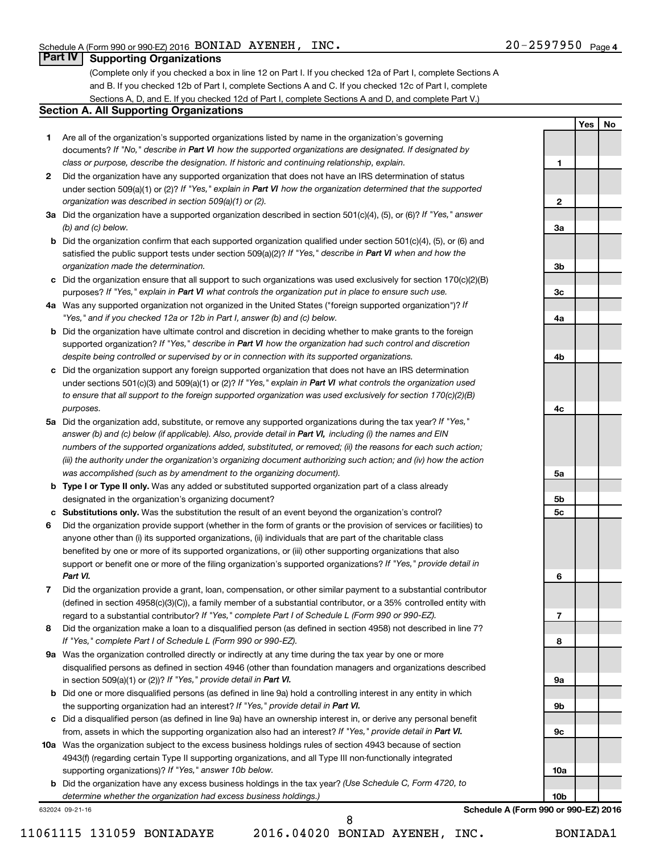**1**

**2**

**3a**

**3b**

**3c**

**4a**

**4b**

**4c**

**5a**

**5b 5c**

**6**

**7**

**8**

**9a**

**9b**

**9c**

**10a**

**10b**

**Yes No**

#### **Part IV Supporting Organizations**

(Complete only if you checked a box in line 12 on Part I. If you checked 12a of Part I, complete Sections A and B. If you checked 12b of Part I, complete Sections A and C. If you checked 12c of Part I, complete Sections A, D, and E. If you checked 12d of Part I, complete Sections A and D, and complete Part V.)

#### **Section A. All Supporting Organizations**

- **1** Are all of the organization's supported organizations listed by name in the organization's governing documents? If "No," describe in Part VI how the supported organizations are designated. If designated by *class or purpose, describe the designation. If historic and continuing relationship, explain.*
- **2** Did the organization have any supported organization that does not have an IRS determination of status under section 509(a)(1) or (2)? If "Yes," explain in Part VI how the organization determined that the supported *organization was described in section 509(a)(1) or (2).*
- **3a** Did the organization have a supported organization described in section 501(c)(4), (5), or (6)? If "Yes," answer *(b) and (c) below.*
- **b** Did the organization confirm that each supported organization qualified under section 501(c)(4), (5), or (6) and satisfied the public support tests under section 509(a)(2)? If "Yes," describe in Part VI when and how the *organization made the determination.*
- **c** Did the organization ensure that all support to such organizations was used exclusively for section 170(c)(2)(B) purposes? If "Yes," explain in Part VI what controls the organization put in place to ensure such use.
- **4 a** *If* Was any supported organization not organized in the United States ("foreign supported organization")? *"Yes," and if you checked 12a or 12b in Part I, answer (b) and (c) below.*
- **b** Did the organization have ultimate control and discretion in deciding whether to make grants to the foreign supported organization? If "Yes," describe in Part VI how the organization had such control and discretion *despite being controlled or supervised by or in connection with its supported organizations.*
- **c** Did the organization support any foreign supported organization that does not have an IRS determination under sections 501(c)(3) and 509(a)(1) or (2)? If "Yes," explain in Part VI what controls the organization used *to ensure that all support to the foreign supported organization was used exclusively for section 170(c)(2)(B) purposes.*
- **5a** Did the organization add, substitute, or remove any supported organizations during the tax year? If "Yes," answer (b) and (c) below (if applicable). Also, provide detail in Part VI, including (i) the names and EIN *numbers of the supported organizations added, substituted, or removed; (ii) the reasons for each such action; (iii) the authority under the organization's organizing document authorizing such action; and (iv) how the action was accomplished (such as by amendment to the organizing document).*
- **b Type I or Type II only.** Was any added or substituted supported organization part of a class already designated in the organization's organizing document?
- **c Substitutions only.**  Was the substitution the result of an event beyond the organization's control?
- **6** Did the organization provide support (whether in the form of grants or the provision of services or facilities) to support or benefit one or more of the filing organization's supported organizations? If "Yes," provide detail in anyone other than (i) its supported organizations, (ii) individuals that are part of the charitable class benefited by one or more of its supported organizations, or (iii) other supporting organizations that also *Part VI.*
- **7** Did the organization provide a grant, loan, compensation, or other similar payment to a substantial contributor regard to a substantial contributor? If "Yes," complete Part I of Schedule L (Form 990 or 990-EZ). (defined in section 4958(c)(3)(C)), a family member of a substantial contributor, or a 35% controlled entity with
- **8** Did the organization make a loan to a disqualified person (as defined in section 4958) not described in line 7? *If "Yes," complete Part I of Schedule L (Form 990 or 990-EZ).*
- **9 a** Was the organization controlled directly or indirectly at any time during the tax year by one or more in section 509(a)(1) or (2))? If "Yes," provide detail in Part VI. disqualified persons as defined in section 4946 (other than foundation managers and organizations described
- **b** Did one or more disqualified persons (as defined in line 9a) hold a controlling interest in any entity in which the supporting organization had an interest? If "Yes," provide detail in Part VI.
- **c** Did a disqualified person (as defined in line 9a) have an ownership interest in, or derive any personal benefit from, assets in which the supporting organization also had an interest? If "Yes," provide detail in Part VI.
- **10 a** Was the organization subject to the excess business holdings rules of section 4943 because of section supporting organizations)? If "Yes," answer 10b below. 4943(f) (regarding certain Type II supporting organizations, and all Type III non-functionally integrated
	- **b** Did the organization have any excess business holdings in the tax year? (Use Schedule C, Form 4720, to *determine whether the organization had excess business holdings.)*

632024 09-21-16

**Schedule A (Form 990 or 990-EZ) 2016**

 *8*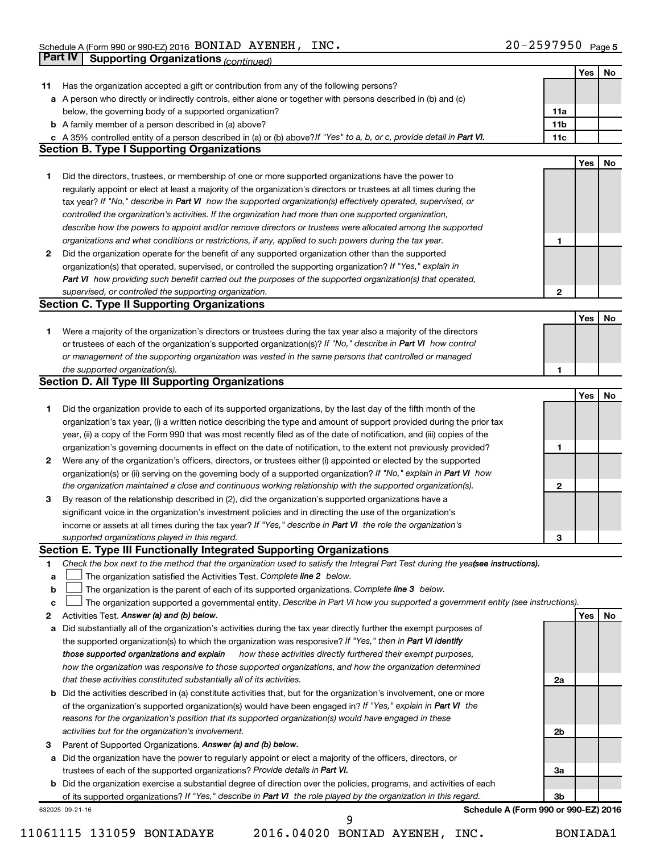|    | Part IV<br><b>Supporting Organizations (continued)</b>                                                                          |                 |     |     |
|----|---------------------------------------------------------------------------------------------------------------------------------|-----------------|-----|-----|
|    |                                                                                                                                 |                 | Yes | No  |
| 11 | Has the organization accepted a gift or contribution from any of the following persons?                                         |                 |     |     |
|    | a A person who directly or indirectly controls, either alone or together with persons described in (b) and (c)                  |                 |     |     |
|    | below, the governing body of a supported organization?                                                                          | 11a             |     |     |
|    | <b>b</b> A family member of a person described in (a) above?                                                                    | 11 <sub>b</sub> |     |     |
|    | c A 35% controlled entity of a person described in (a) or (b) above? If "Yes" to a, b, or c, provide detail in Part VI.         | 11c             |     |     |
|    | <b>Section B. Type I Supporting Organizations</b>                                                                               |                 |     |     |
|    |                                                                                                                                 |                 | Yes | No  |
|    |                                                                                                                                 |                 |     |     |
| 1  | Did the directors, trustees, or membership of one or more supported organizations have the power to                             |                 |     |     |
|    | regularly appoint or elect at least a majority of the organization's directors or trustees at all times during the              |                 |     |     |
|    | tax year? If "No," describe in Part VI how the supported organization(s) effectively operated, supervised, or                   |                 |     |     |
|    | controlled the organization's activities. If the organization had more than one supported organization,                         |                 |     |     |
|    | describe how the powers to appoint and/or remove directors or trustees were allocated among the supported                       |                 |     |     |
|    | organizations and what conditions or restrictions, if any, applied to such powers during the tax year.                          | 1               |     |     |
| 2  | Did the organization operate for the benefit of any supported organization other than the supported                             |                 |     |     |
|    | organization(s) that operated, supervised, or controlled the supporting organization? If "Yes," explain in                      |                 |     |     |
|    | Part VI how providing such benefit carried out the purposes of the supported organization(s) that operated,                     |                 |     |     |
|    | supervised, or controlled the supporting organization.                                                                          | 2               |     |     |
|    | <b>Section C. Type II Supporting Organizations</b>                                                                              |                 |     |     |
|    |                                                                                                                                 |                 | Yes | No  |
| 1. | Were a majority of the organization's directors or trustees during the tax year also a majority of the directors                |                 |     |     |
|    | or trustees of each of the organization's supported organization(s)? If "No," describe in Part VI how control                   |                 |     |     |
|    | or management of the supporting organization was vested in the same persons that controlled or managed                          |                 |     |     |
|    | the supported organization(s).                                                                                                  | 1               |     |     |
|    | <b>Section D. All Type III Supporting Organizations</b>                                                                         |                 |     |     |
|    |                                                                                                                                 |                 | Yes | No  |
| 1  | Did the organization provide to each of its supported organizations, by the last day of the fifth month of the                  |                 |     |     |
|    | organization's tax year, (i) a written notice describing the type and amount of support provided during the prior tax           |                 |     |     |
|    | year, (ii) a copy of the Form 990 that was most recently filed as of the date of notification, and (iii) copies of the          |                 |     |     |
|    | organization's governing documents in effect on the date of notification, to the extent not previously provided?                | 1               |     |     |
| 2  | Were any of the organization's officers, directors, or trustees either (i) appointed or elected by the supported                |                 |     |     |
|    | organization(s) or (ii) serving on the governing body of a supported organization? If "No," explain in Part VI how              |                 |     |     |
|    | the organization maintained a close and continuous working relationship with the supported organization(s).                     | $\mathbf{2}$    |     |     |
|    |                                                                                                                                 |                 |     |     |
| 3  | By reason of the relationship described in (2), did the organization's supported organizations have a                           |                 |     |     |
|    | significant voice in the organization's investment policies and in directing the use of the organization's                      |                 |     |     |
|    | income or assets at all times during the tax year? If "Yes," describe in Part VI the role the organization's                    |                 |     |     |
|    | supported organizations played in this regard.                                                                                  | 3               |     |     |
|    | Section E. Type III Functionally Integrated Supporting Organizations                                                            |                 |     |     |
| 1  | Check the box next to the method that the organization used to satisfy the Integral Part Test during the yeafsee instructions). |                 |     |     |
| а  | The organization satisfied the Activities Test. Complete line 2 below.                                                          |                 |     |     |
| b  | The organization is the parent of each of its supported organizations. Complete line 3 below.                                   |                 |     |     |
| c  | The organization supported a governmental entity. Describe in Part VI how you supported a government entity (see instructions). |                 |     |     |
| 2  | Activities Test. Answer (a) and (b) below.                                                                                      |                 | Yes | No. |
| а  | Did substantially all of the organization's activities during the tax year directly further the exempt purposes of              |                 |     |     |
|    | the supported organization(s) to which the organization was responsive? If "Yes," then in Part VI identify                      |                 |     |     |
|    | how these activities directly furthered their exempt purposes,<br>those supported organizations and explain                     |                 |     |     |
|    | how the organization was responsive to those supported organizations, and how the organization determined                       |                 |     |     |
|    | that these activities constituted substantially all of its activities.                                                          | 2a              |     |     |
| b  | Did the activities described in (a) constitute activities that, but for the organization's involvement, one or more             |                 |     |     |
|    | of the organization's supported organization(s) would have been engaged in? If "Yes," explain in Part VI the                    |                 |     |     |
|    | reasons for the organization's position that its supported organization(s) would have engaged in these                          |                 |     |     |
|    | activities but for the organization's involvement.                                                                              | 2b              |     |     |
| 3  | Parent of Supported Organizations. Answer (a) and (b) below.                                                                    |                 |     |     |
| а  | Did the organization have the power to regularly appoint or elect a majority of the officers, directors, or                     |                 |     |     |
|    | trustees of each of the supported organizations? Provide details in Part VI.                                                    | За              |     |     |
|    | <b>b</b> Did the organization exercise a substantial degree of direction over the policies, programs, and activities of each    |                 |     |     |
|    | of its supported organizations? If "Yes," describe in Part VI the role played by the organization in this regard.               | Зb              |     |     |
|    | Schedule A (Form 990 or 990-EZ) 2016<br>632025 09-21-16                                                                         |                 |     |     |
|    | 9                                                                                                                               |                 |     |     |

*<sup>11061115 131059</sup> BONIADAYE 2016.04020 BONIAD AYENEH, INC. BONIADA1*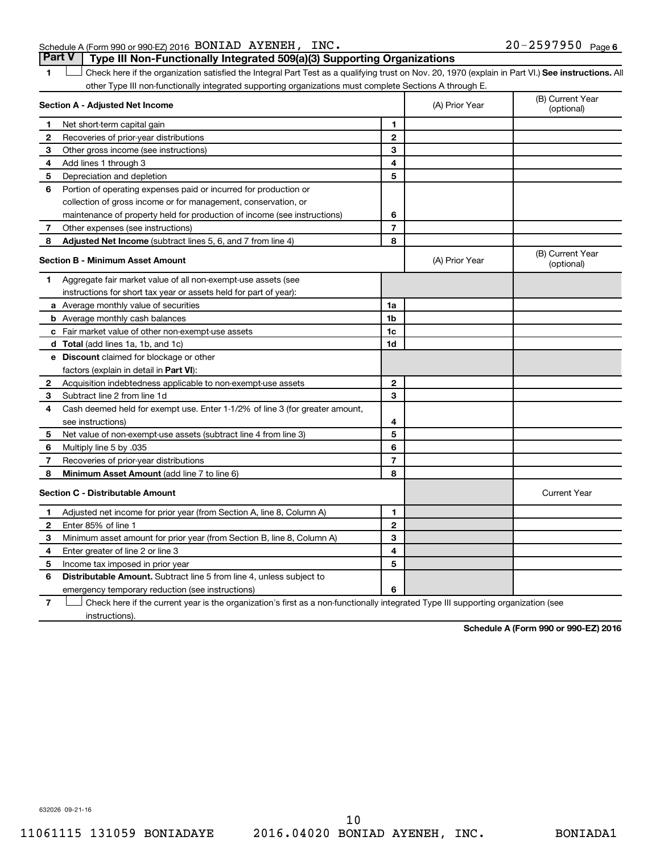#### Schedule A (Form 990 or 990-EZ) 2016 BONIAD AYENEH, INC. 20 200-2597950 Page

1 **Letter See instructions.** All Check here if the organization satisfied the Integral Part Test as a qualifying trust on Nov. 20, 1970 (explain in Part VI.) See instructions. All **Part V Type III Non-Functionally Integrated 509(a)(3) Supporting Organizations** 

other Type III non-functionally integrated supporting organizations must complete Sections A through E.

|              | Section A - Adjusted Net Income                                              |                | (A) Prior Year | (B) Current Year<br>(optional) |
|--------------|------------------------------------------------------------------------------|----------------|----------------|--------------------------------|
| 1            | Net short-term capital gain                                                  | 1              |                |                                |
| $\mathbf{2}$ | Recoveries of prior-year distributions                                       | $\mathbf{2}$   |                |                                |
| З            | Other gross income (see instructions)                                        | 3              |                |                                |
| 4            | Add lines 1 through 3                                                        | 4              |                |                                |
| 5            | Depreciation and depletion                                                   | 5              |                |                                |
| 6            | Portion of operating expenses paid or incurred for production or             |                |                |                                |
|              | collection of gross income or for management, conservation, or               |                |                |                                |
|              | maintenance of property held for production of income (see instructions)     | 6              |                |                                |
| 7            | Other expenses (see instructions)                                            | $\overline{7}$ |                |                                |
| 8            | Adjusted Net Income (subtract lines 5, 6, and 7 from line 4)                 | 8              |                |                                |
|              | <b>Section B - Minimum Asset Amount</b>                                      |                | (A) Prior Year | (B) Current Year<br>(optional) |
| 1            | Aggregate fair market value of all non-exempt-use assets (see                |                |                |                                |
|              | instructions for short tax year or assets held for part of year):            |                |                |                                |
|              | <b>a</b> Average monthly value of securities                                 | 1a             |                |                                |
|              | <b>b</b> Average monthly cash balances                                       | 1b             |                |                                |
|              | c Fair market value of other non-exempt-use assets                           | 1c             |                |                                |
|              | <b>d</b> Total (add lines 1a, 1b, and 1c)                                    | 1d             |                |                                |
|              | e Discount claimed for blockage or other                                     |                |                |                                |
|              | factors (explain in detail in <b>Part VI</b> ):                              |                |                |                                |
| 2            | Acquisition indebtedness applicable to non-exempt-use assets                 | $\mathbf{2}$   |                |                                |
| 3            | Subtract line 2 from line 1d                                                 | 3              |                |                                |
| 4            | Cash deemed held for exempt use. Enter 1-1/2% of line 3 (for greater amount, |                |                |                                |
|              | see instructions)                                                            | 4              |                |                                |
| 5            | Net value of non-exempt-use assets (subtract line 4 from line 3)             | 5              |                |                                |
| 6            | Multiply line 5 by .035                                                      | 6              |                |                                |
| 7            | Recoveries of prior-year distributions                                       | $\overline{7}$ |                |                                |
| 8            | Minimum Asset Amount (add line 7 to line 6)                                  | 8              |                |                                |
|              | <b>Section C - Distributable Amount</b>                                      |                |                | <b>Current Year</b>            |
| 1            | Adjusted net income for prior year (from Section A, line 8, Column A)        | 1              |                |                                |
| 2            | Enter 85% of line 1                                                          | $\mathbf{2}$   |                |                                |
| З            | Minimum asset amount for prior year (from Section B, line 8, Column A)       | 3              |                |                                |
| 4            | Enter greater of line 2 or line 3                                            | 4              |                |                                |
| 5            | Income tax imposed in prior year                                             | 5              |                |                                |
| 6            | <b>Distributable Amount.</b> Subtract line 5 from line 4, unless subject to  |                |                |                                |
|              | emergency temporary reduction (see instructions)                             | 6              |                |                                |
|              |                                                                              |                |                |                                |

**7** Check here if the current year is the organization's first as a non-functionally integrated Type III supporting organization (see instructions).

**Schedule A (Form 990 or 990-EZ) 2016**

632026 09-21-16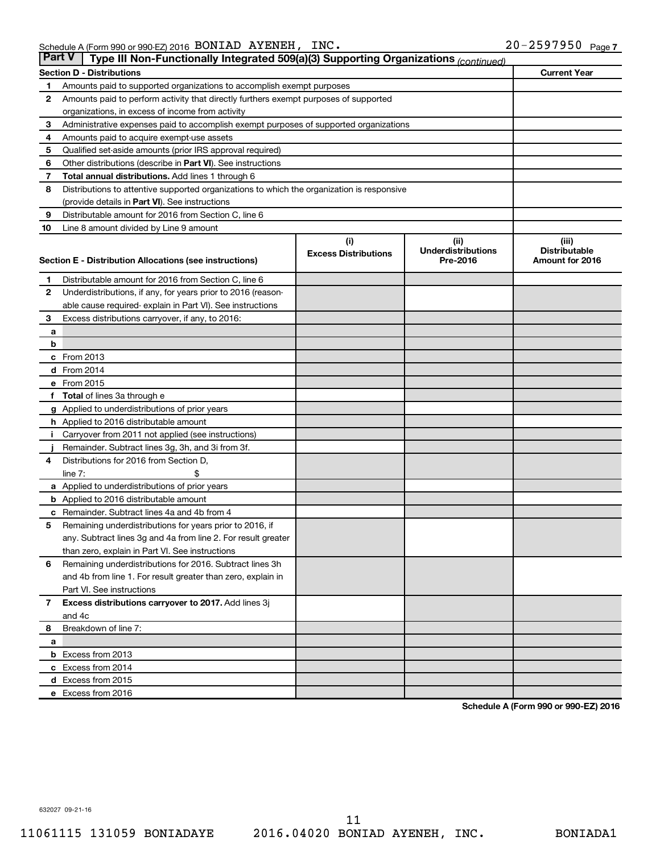| <b>Part V</b> | Type III Non-Functionally Integrated 509(a)(3) Supporting Organizations (continued)                     |                             |                                       |                                         |
|---------------|---------------------------------------------------------------------------------------------------------|-----------------------------|---------------------------------------|-----------------------------------------|
|               | <b>Section D - Distributions</b>                                                                        |                             |                                       | <b>Current Year</b>                     |
| 1.            | Amounts paid to supported organizations to accomplish exempt purposes                                   |                             |                                       |                                         |
| 2             | Amounts paid to perform activity that directly furthers exempt purposes of supported                    |                             |                                       |                                         |
|               | organizations, in excess of income from activity                                                        |                             |                                       |                                         |
| 3             | Administrative expenses paid to accomplish exempt purposes of supported organizations                   |                             |                                       |                                         |
| 4             | Amounts paid to acquire exempt-use assets                                                               |                             |                                       |                                         |
| 5             | Qualified set-aside amounts (prior IRS approval required)                                               |                             |                                       |                                         |
| 6             | Other distributions (describe in Part VI). See instructions                                             |                             |                                       |                                         |
| 7             | Total annual distributions. Add lines 1 through 6                                                       |                             |                                       |                                         |
| 8             | Distributions to attentive supported organizations to which the organization is responsive              |                             |                                       |                                         |
|               | (provide details in Part VI). See instructions                                                          |                             |                                       |                                         |
| 9             | Distributable amount for 2016 from Section C, line 6                                                    |                             |                                       |                                         |
| 10            | Line 8 amount divided by Line 9 amount                                                                  |                             |                                       |                                         |
|               |                                                                                                         | (i)                         | (ii)                                  | (iii)                                   |
|               | Section E - Distribution Allocations (see instructions)                                                 | <b>Excess Distributions</b> | <b>Underdistributions</b><br>Pre-2016 | <b>Distributable</b><br>Amount for 2016 |
|               |                                                                                                         |                             |                                       |                                         |
| 1.            | Distributable amount for 2016 from Section C, line 6                                                    |                             |                                       |                                         |
| 2             | Underdistributions, if any, for years prior to 2016 (reason-                                            |                             |                                       |                                         |
|               | able cause required-explain in Part VI). See instructions                                               |                             |                                       |                                         |
| 3             | Excess distributions carryover, if any, to 2016:                                                        |                             |                                       |                                         |
| а             |                                                                                                         |                             |                                       |                                         |
| b             |                                                                                                         |                             |                                       |                                         |
|               | c From 2013                                                                                             |                             |                                       |                                         |
|               | <b>d</b> From 2014                                                                                      |                             |                                       |                                         |
|               | e From 2015                                                                                             |                             |                                       |                                         |
|               | f Total of lines 3a through e                                                                           |                             |                                       |                                         |
|               | <b>g</b> Applied to underdistributions of prior years                                                   |                             |                                       |                                         |
|               | <b>h</b> Applied to 2016 distributable amount                                                           |                             |                                       |                                         |
| Ť.            | Carryover from 2011 not applied (see instructions)<br>Remainder. Subtract lines 3g, 3h, and 3i from 3f. |                             |                                       |                                         |
| 4             | Distributions for 2016 from Section D,                                                                  |                             |                                       |                                         |
|               | line $7:$                                                                                               |                             |                                       |                                         |
|               | a Applied to underdistributions of prior years                                                          |                             |                                       |                                         |
|               | <b>b</b> Applied to 2016 distributable amount                                                           |                             |                                       |                                         |
|               | <b>c</b> Remainder. Subtract lines 4a and 4b from 4                                                     |                             |                                       |                                         |
| 5             | Remaining underdistributions for years prior to 2016, if                                                |                             |                                       |                                         |
|               | any. Subtract lines 3g and 4a from line 2. For result greater                                           |                             |                                       |                                         |
|               | than zero, explain in Part VI. See instructions                                                         |                             |                                       |                                         |
| 6             | Remaining underdistributions for 2016. Subtract lines 3h                                                |                             |                                       |                                         |
|               | and 4b from line 1. For result greater than zero, explain in                                            |                             |                                       |                                         |
|               | Part VI. See instructions                                                                               |                             |                                       |                                         |
| 7             | Excess distributions carryover to 2017. Add lines 3j                                                    |                             |                                       |                                         |
|               | and 4c                                                                                                  |                             |                                       |                                         |
| 8             | Breakdown of line 7:                                                                                    |                             |                                       |                                         |
| а             |                                                                                                         |                             |                                       |                                         |
|               | <b>b</b> Excess from 2013                                                                               |                             |                                       |                                         |
|               | c Excess from 2014                                                                                      |                             |                                       |                                         |
|               | d Excess from 2015                                                                                      |                             |                                       |                                         |
|               | e Excess from 2016                                                                                      |                             |                                       |                                         |

**Schedule A (Form 990 or 990-EZ) 2016**

632027 09-21-16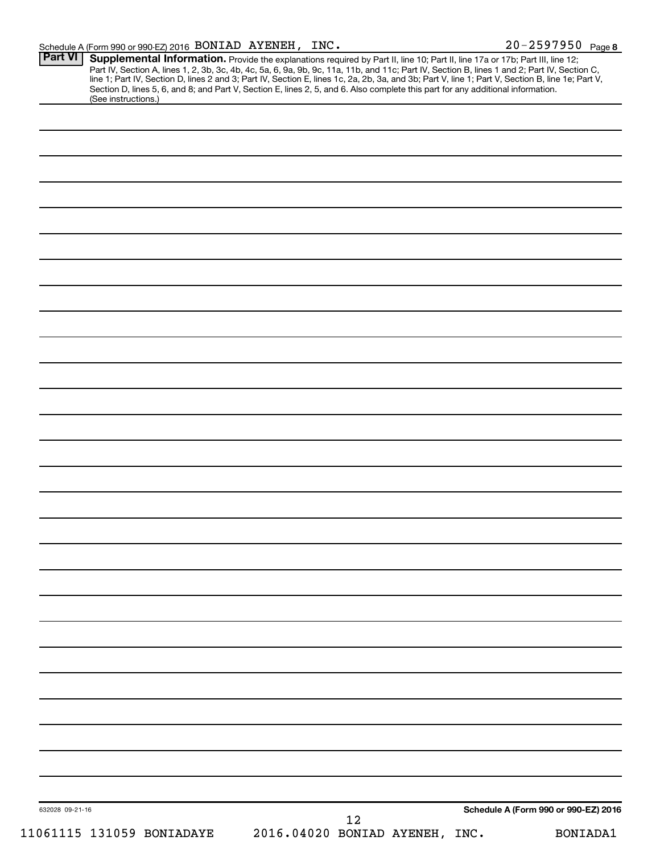| Schedule A (Form 990 or 990-EZ) 2016 $\,$ BONIAD $\,$ AYENEH, $\,$ INC $\,$ |  | $20 - 2597950$ Page 8 |
|-----------------------------------------------------------------------------|--|-----------------------|
|-----------------------------------------------------------------------------|--|-----------------------|

| (See instructions.) | Part IV, Section A, lines 1, 2, 3b, 3c, 4b, 4c, 5a, 6, 9a, 9b, 9c, 11a, 11b, and 11c; Part IV, Section B, lines 1 and 2; Part IV, Section C, line 1; Part IV, Section D, lines 2 and 3; Part IV, Section E, lines 1c, 2a, 2b,<br>Section D, lines 5, 6, and 8; and Part V, Section E, lines 2, 5, and 6. Also complete this part for any additional information. |
|---------------------|------------------------------------------------------------------------------------------------------------------------------------------------------------------------------------------------------------------------------------------------------------------------------------------------------------------------------------------------------------------|
|                     |                                                                                                                                                                                                                                                                                                                                                                  |
|                     |                                                                                                                                                                                                                                                                                                                                                                  |
|                     |                                                                                                                                                                                                                                                                                                                                                                  |
|                     |                                                                                                                                                                                                                                                                                                                                                                  |
|                     |                                                                                                                                                                                                                                                                                                                                                                  |
|                     |                                                                                                                                                                                                                                                                                                                                                                  |
|                     |                                                                                                                                                                                                                                                                                                                                                                  |
|                     |                                                                                                                                                                                                                                                                                                                                                                  |
|                     |                                                                                                                                                                                                                                                                                                                                                                  |
|                     |                                                                                                                                                                                                                                                                                                                                                                  |
|                     |                                                                                                                                                                                                                                                                                                                                                                  |
|                     |                                                                                                                                                                                                                                                                                                                                                                  |
|                     |                                                                                                                                                                                                                                                                                                                                                                  |
|                     |                                                                                                                                                                                                                                                                                                                                                                  |
|                     |                                                                                                                                                                                                                                                                                                                                                                  |
|                     |                                                                                                                                                                                                                                                                                                                                                                  |
|                     |                                                                                                                                                                                                                                                                                                                                                                  |
|                     |                                                                                                                                                                                                                                                                                                                                                                  |
|                     |                                                                                                                                                                                                                                                                                                                                                                  |
|                     |                                                                                                                                                                                                                                                                                                                                                                  |
|                     |                                                                                                                                                                                                                                                                                                                                                                  |
|                     |                                                                                                                                                                                                                                                                                                                                                                  |
|                     |                                                                                                                                                                                                                                                                                                                                                                  |
|                     |                                                                                                                                                                                                                                                                                                                                                                  |
|                     |                                                                                                                                                                                                                                                                                                                                                                  |
|                     |                                                                                                                                                                                                                                                                                                                                                                  |
|                     |                                                                                                                                                                                                                                                                                                                                                                  |
|                     |                                                                                                                                                                                                                                                                                                                                                                  |
|                     |                                                                                                                                                                                                                                                                                                                                                                  |
|                     |                                                                                                                                                                                                                                                                                                                                                                  |
|                     |                                                                                                                                                                                                                                                                                                                                                                  |
|                     |                                                                                                                                                                                                                                                                                                                                                                  |
|                     |                                                                                                                                                                                                                                                                                                                                                                  |
|                     |                                                                                                                                                                                                                                                                                                                                                                  |
|                     |                                                                                                                                                                                                                                                                                                                                                                  |
|                     |                                                                                                                                                                                                                                                                                                                                                                  |
|                     |                                                                                                                                                                                                                                                                                                                                                                  |
|                     |                                                                                                                                                                                                                                                                                                                                                                  |
|                     |                                                                                                                                                                                                                                                                                                                                                                  |
|                     |                                                                                                                                                                                                                                                                                                                                                                  |
|                     |                                                                                                                                                                                                                                                                                                                                                                  |
|                     |                                                                                                                                                                                                                                                                                                                                                                  |
|                     | Schedule A (Form 990 or 990-EZ) 2016                                                                                                                                                                                                                                                                                                                             |
| 632028 09-21-16     |                                                                                                                                                                                                                                                                                                                                                                  |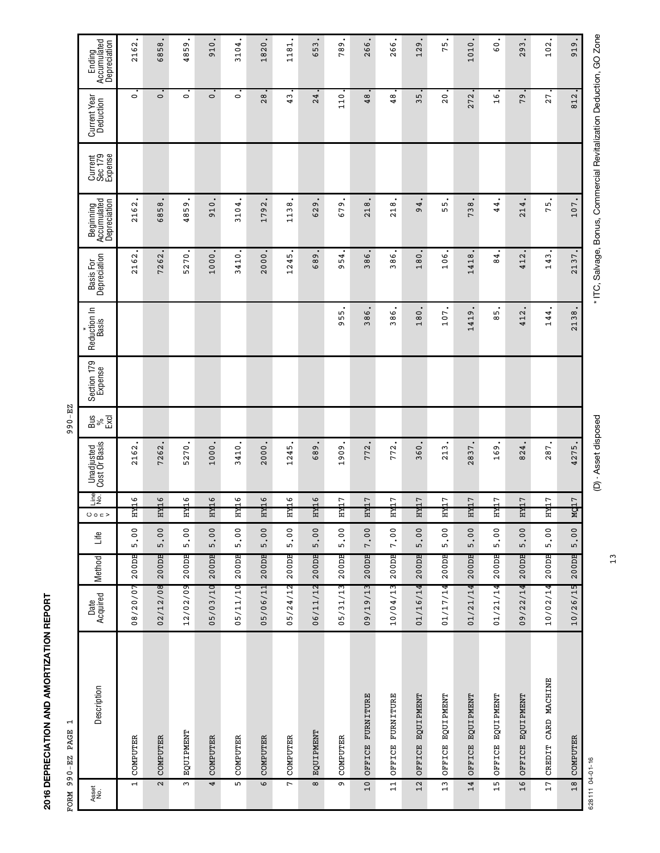| FORM         | $\mathbf{\overline{u}}$<br>990-EZ PAGE |                  |        |                              |                 |                                    | 990-EZ                |                        |                              |                           |                                                                     |                               |                           |                                         |
|--------------|----------------------------------------|------------------|--------|------------------------------|-----------------|------------------------------------|-----------------------|------------------------|------------------------------|---------------------------|---------------------------------------------------------------------|-------------------------------|---------------------------|-----------------------------------------|
| Asset<br>No. | Description                            | Acquired<br>Date | Method | Life                         | Lips<br>0002    | <b>Unadjusted</b><br>Cost Or Basis | $\frac{9}{8}$<br>Excl | Section 179<br>Expense | Reduction In<br><b>Basis</b> | Basis For<br>Depreciation | Beginning<br>Accumulated<br>Depreciation                            | Current<br>Sec 179<br>Expense | Current Year<br>Deduction | Ending<br>Accumulated<br>Depreciation   |
|              | COMPUTER<br>$\mathbf{r}$               | 08/20/07         | 200DB  | 5.00                         | 여<br>법<br>H     | 2162                               |                       |                        |                              | 2162                      | 2162                                                                |                               | $\circ$                   | 2162.                                   |
|              | COMPUTER<br>$\mathbf{\Omega}$          | 02/12/08         | 200DB  | 5.00                         | 2中<br>ᄇ         | 7262                               |                       |                        |                              | 7262                      | 6858                                                                |                               | $\circ$                   | 58<br>$\frac{8}{3}$                     |
|              | EQUIPMENT<br>$\sim$                    | 12/02/09         | 200DB  | $\overline{0}$<br><u>ທີ່</u> | 2中<br>H         | 5270                               |                       |                        |                              | 5270                      | 4859                                                                |                               | $\circ$                   | 59<br>48                                |
|              | COMPUTER<br>4                          | 05/03/10         | 200DB  | 5.00                         | нид 6           | 1000                               |                       |                        |                              | 1000                      | 910                                                                 |                               | $\circ$                   | $\circ$<br>$\overline{9}$               |
|              | COMPUTER<br>LN.                        | 05/11/10         | 200DB  | 5.00                         | 첇<br>ᄑ          | 3410                               |                       |                        |                              | 3410                      | 3104                                                                |                               | $\circ$                   | 3104.                                   |
|              | COMPUTER<br>$\circ$                    | 05/06/11         | 200DB  | 5.00                         | 합<br>법<br>ᄑ     | 2000                               |                       |                        |                              | 2000                      | 1792                                                                |                               | 28                        | 1820.                                   |
|              | COMPUTER<br>$\overline{ }$             | 05/24/12         | 200DB  | 5.00                         | ] 대<br>H        | 1245                               |                       |                        |                              | 1245                      | 1138                                                                |                               | 43                        | $\overline{\text{8}}$<br>$\overline{1}$ |
|              | <b>EQUIPMENT</b><br>$\infty$           | 06/11/12         | 200DB  | 5.00                         | 2中<br>Ħ         | 689                                |                       |                        |                              | 689                       | 629                                                                 |                               | 24                        | 53<br>$\circ$                           |
|              | COMPUTER<br>Ō                          | 05/31/13         | 200DB  | 5.00                         | <b>中立</b><br>H  | 1909                               |                       |                        | 55<br>Ō                      | 954                       | 679                                                                 |                               | 110                       | Ō<br>${}^{\circ}$<br>$\overline{ }$     |
|              | OFFICE FURNITURE<br>10                 | 09/19/13         | 200DB  | 7.00                         | ни17            | 772                                |                       |                        | 386                          | 386                       | 218                                                                 |                               | 48                        | 266                                     |
|              | FURNITURE<br>OFFICE<br>11              | 10/04/13         | 200DB  | 7.00                         | <b>如7</b><br>H  | 772                                |                       |                        | 386                          | 386                       | 218                                                                 |                               | 48                        | 266.                                    |
|              | EQUIPMENT<br>OFFICE<br>$12$            | 01/16/14         | 200DB  | 5.00                         | <b>中午</b><br>ᄇ  | 360                                |                       |                        | 180                          | 180                       | 4<br>G                                                              |                               | ι∩<br>ω                   | 129                                     |
|              | EQUIPMENT<br>OFFICE<br>13              | 01/17/14         | 200DB  | 5.00                         | <b>Тил</b><br>H | 213                                |                       |                        | 107                          | 106                       | ъ<br>ъ                                                              |                               | 20                        | m<br>$\overline{ }$                     |
|              | <b>LONANTION</b><br>OFFICE<br>14       | 01/21/14         | 200DB  | 5.00                         | <b>Z中</b><br>ᄇ  | 2837                               |                       |                        | 1419                         | 1418                      | 738                                                                 |                               | 272                       | 1010                                    |
|              | OFFICE EQUIPMENT<br>15                 | 01/21/14         | 200DB  | 5.00                         | <b>Тил</b><br>H | 169                                |                       |                        | 85                           | 4<br>$\infty$             | 4<br>4                                                              |                               | $\frac{6}{1}$             | $\overline{6}$                          |
|              | EQUIPMENT<br>OFFICE<br>16              | 09/22/14         | 200DB  | 5.00                         | ни17            | 824                                |                       |                        | 412                          | 412                       | 214                                                                 |                               | 79                        | 293                                     |
|              | CARD MACHINE<br>CREDIT<br>17           | 10/02/14         | 200DB  | 5.00                         | <b>中7</b><br>H  | 287                                |                       |                        | 144                          | 143                       | 5<br>$\overline{ }$                                                 |                               | 27                        | 102.                                    |
|              | COMPUTER<br>18                         | 10/26/15         | 200DB  | 5.00                         | q17<br>×,       | 4275                               |                       |                        | 2138                         | 2137                      | 107                                                                 |                               | 812                       | $\ddot{\circ}$<br>$\overline{5}$        |
|              | 628111 04-01-16                        |                  |        |                              |                 | (D) - Asset disposed               |                       |                        |                              |                           | * ITC, Salvage, Bonus, Commercial Revitalization Deduction, GO Zone |                               |                           |                                         |

2016 DEPRECIATION AND AMORTIZATION REPORT **2016 DEPRECIATION AND AMORTIZATION REPORT** 13

et disposed tisposed \* Asset disposed \* ITC, Salvage, Salvage, Salvage, Salvage, Salvage, Salvage, Go Zone, GO Zone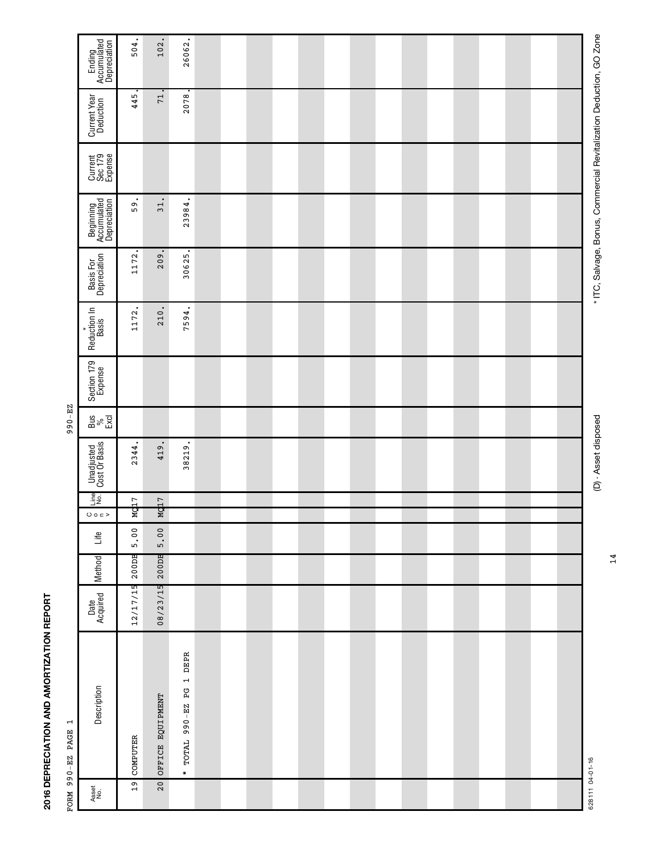|                                  | Ending<br>Accumulated<br>Depreciation         | 504.     | 102.             | 26062.                   |  |  |  |  |  |  |  |  |
|----------------------------------|-----------------------------------------------|----------|------------------|--------------------------|--|--|--|--|--|--|--|--|
|                                  | Current Year<br>Deduction                     | 445.     | 71               | 2078.                    |  |  |  |  |  |  |  |  |
|                                  | Current<br>Sec 179<br>Expense                 |          |                  |                          |  |  |  |  |  |  |  |  |
|                                  | Beginning<br>Accumulated<br>Depreciation      | 59.      | $\overline{31}$  | 23984.                   |  |  |  |  |  |  |  |  |
|                                  | Basis For<br>Depreciation                     | 1172.    | 209.             | 30625.                   |  |  |  |  |  |  |  |  |
|                                  | Reduction In<br>Basis<br>٠                    | 1172     | 210              | 7594.                    |  |  |  |  |  |  |  |  |
|                                  | Section 179                                   |          |                  |                          |  |  |  |  |  |  |  |  |
| 990-EZ                           | $\frac{\text{S}}{\text{S}} \text{S} \text{S}$ |          |                  |                          |  |  |  |  |  |  |  |  |
|                                  | Unadjusted<br>Cost Or Basis                   | 2344.    | 419.             | 38219.                   |  |  |  |  |  |  |  |  |
|                                  | $\frac{1}{2}$<br>O O C                        | Mg17     | Mq17             |                          |  |  |  |  |  |  |  |  |
|                                  | Life                                          | 5.00     | 5.00             |                          |  |  |  |  |  |  |  |  |
|                                  | Method                                        | 200DB    | 200DB            |                          |  |  |  |  |  |  |  |  |
|                                  | Date<br>Acquired                              | 12/17/15 | 08/23/15         |                          |  |  |  |  |  |  |  |  |
| $\mathbf{r}$<br>FORM 990-EZ PAGE | Description                                   | COMPUTER | OFFICE EQUIPMENT | * TOTAL 990-EZ PG 1 DEPR |  |  |  |  |  |  |  |  |
|                                  | Asset<br>No.                                  | 19       | 20               |                          |  |  |  |  |  |  |  |  |
|                                  |                                               |          |                  |                          |  |  |  |  |  |  |  |  |

2016 DEPRECIATION AND AMORTIZATION REPORT **2016 DEPRECIATION AND AMORTIZATION REPORT**

LON 000-LA DIGLA

14

(D) - Asset disposed

et disposed tisposed \* Asset disposed \* ITC, Salvage, Salvage, Salvage, Salvage, Salvage, Salvage, Go Zone, GO Zone

\* ITC, Salvage, Bonus, Commercial Revitalization Deduction, GO Zone

628111 04-01-16 628111 04-01-16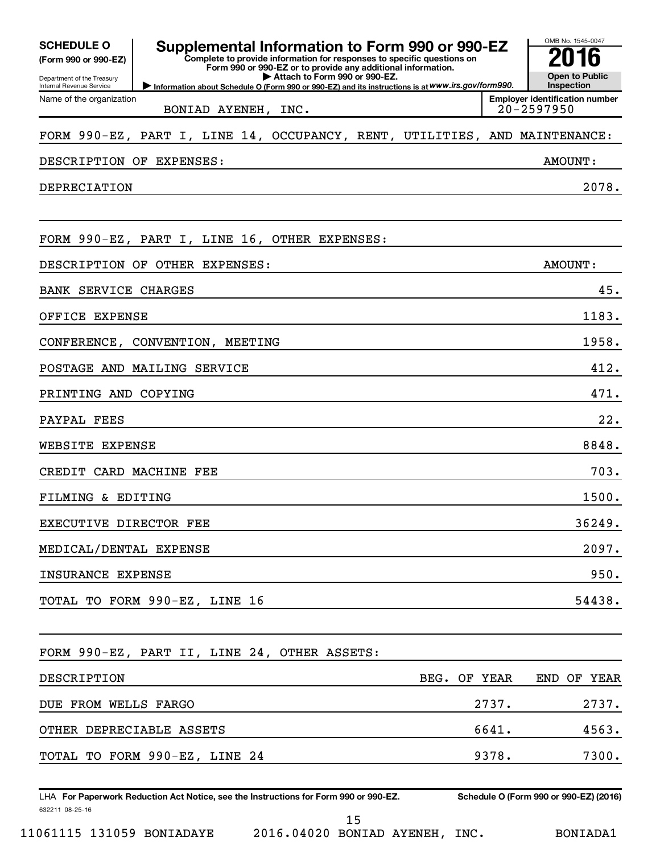| <b>SCHEDULE O</b><br>(Form 990 or 990-EZ)              | Supplemental Information to Form 990 or 990-EZ<br>Complete to provide information for responses to specific questions on<br>Form 990 or 990-EZ or to provide any additional information. |              | OMB No. 1545-0047<br><b>Open to Public</b>              |
|--------------------------------------------------------|------------------------------------------------------------------------------------------------------------------------------------------------------------------------------------------|--------------|---------------------------------------------------------|
| Department of the Treasury<br>Internal Revenue Service | Attach to Form 990 or 990-EZ.<br>Information about Schedule O (Form 990 or 990-EZ) and its instructions is at WWW.irs.gov/form990.                                                       |              | Inspection                                              |
| Name of the organization                               | BONIAD AYENEH, INC.                                                                                                                                                                      |              | <b>Employer identification number</b><br>$20 - 2597950$ |
|                                                        | FORM 990-EZ, PART I, LINE 14, OCCUPANCY, RENT, UTILITIES, AND MAINTENANCE:                                                                                                               |              |                                                         |
| DESCRIPTION OF EXPENSES:                               |                                                                                                                                                                                          |              | AMOUNT:                                                 |
| DEPRECIATION                                           |                                                                                                                                                                                          |              | 2078.                                                   |
|                                                        | FORM 990-EZ, PART I, LINE 16, OTHER EXPENSES:                                                                                                                                            |              |                                                         |
|                                                        |                                                                                                                                                                                          |              |                                                         |
| DESCRIPTION OF                                         | OTHER EXPENSES:                                                                                                                                                                          |              | AMOUNT:                                                 |
| <b>BANK SERVICE CHARGES</b>                            |                                                                                                                                                                                          |              | 45.                                                     |
| OFFICE EXPENSE                                         |                                                                                                                                                                                          |              | 1183.                                                   |
|                                                        | CONFERENCE, CONVENTION, MEETING                                                                                                                                                          |              | 1958.                                                   |
|                                                        | POSTAGE AND MAILING SERVICE                                                                                                                                                              |              | 412.                                                    |
| PRINTING AND COPYING                                   |                                                                                                                                                                                          |              | 471.                                                    |
| PAYPAL FEES                                            |                                                                                                                                                                                          |              | 22.                                                     |
| <b>EXPENSE</b><br>WEBSITE                              |                                                                                                                                                                                          |              | 8848.                                                   |
| CREDIT CARD MACHINE FEE                                |                                                                                                                                                                                          |              | 703.                                                    |
| FILMING & EDITING                                      |                                                                                                                                                                                          |              | 1500.                                                   |
| EXECUTIVE DIRECTOR FEE                                 |                                                                                                                                                                                          |              | 36249.                                                  |
| MEDICAL/DENTAL EXPENSE                                 |                                                                                                                                                                                          |              | 2097.                                                   |
| INSURANCE EXPENSE                                      |                                                                                                                                                                                          |              | 950.                                                    |
|                                                        | TOTAL TO FORM 990-EZ, LINE 16                                                                                                                                                            |              | 54438.                                                  |
|                                                        | FORM 990-EZ, PART II, LINE 24, OTHER ASSETS:                                                                                                                                             |              |                                                         |
| DESCRIPTION                                            |                                                                                                                                                                                          | BEG. OF YEAR | END OF YEAR                                             |
| DUE FROM WELLS FARGO                                   |                                                                                                                                                                                          | 2737.        | 2737.                                                   |
| OTHER DEPRECIABLE ASSETS                               |                                                                                                                                                                                          | 6641.        | 4563.                                                   |
|                                                        | TOTAL TO FORM 990-EZ, LINE 24                                                                                                                                                            | 9378.        | 7300.                                                   |
|                                                        |                                                                                                                                                                                          |              |                                                         |
|                                                        | LHA For Paperwork Reduction Act Notice, see the Instructions for Form 990 or 990-EZ.                                                                                                     |              | Schedule O (Form 990 or 990-EZ) (2016)                  |
| 632211 08-25-16                                        | 15                                                                                                                                                                                       |              |                                                         |

*<sup>11061115 131059</sup> BONIADAYE 2016.04020 BONIAD AYENEH, INC. BONIADA1*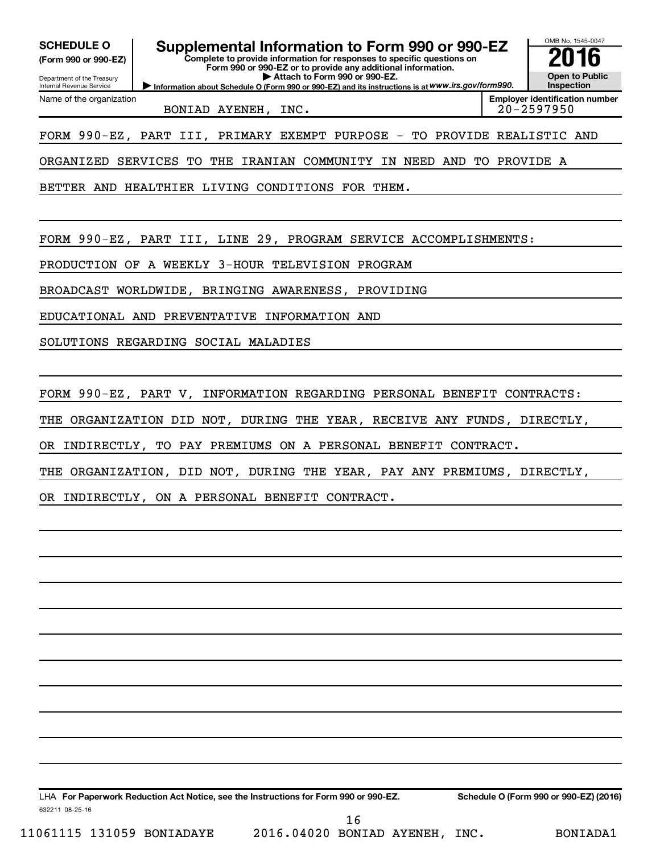OMB No. 1545-0047 Department of the Treasury Internal Revenue Service **Information about Schedule O (Form 990 or 990-EZ) and its instructions is at WWW.irs.gov/form990. Complete to provide information for responses to specific questions on Form 990 or 990-EZ or to provide any additional information. | Attach to Form 990 or 990-EZ. (Form 990 or 990-EZ) Open to Public Inspection Employer identification number** Name of the organization SCHEDULE O **Supplemental Information to Form 990 or 990-EZ 2016**<br>(Form 990 or 990-EZ) **2016** *BONIAD AYENEH, INC. 20-2597950 FORM 990-EZ, PART III, PRIMARY EXEMPT PURPOSE - TO PROVIDE REALISTIC AND ORGANIZED SERVICES TO THE IRANIAN COMMUNITY IN NEED AND TO PROVIDE A BETTER AND HEALTHIER LIVING CONDITIONS FOR THEM. FORM 990-EZ, PART III, LINE 29, PROGRAM SERVICE ACCOMPLISHMENTS: PRODUCTION OF A WEEKLY 3-HOUR TELEVISION PROGRAM BROADCAST WORLDWIDE, BRINGING AWARENESS, PROVIDING EDUCATIONAL AND PREVENTATIVE INFORMATION AND SOLUTIONS REGARDING SOCIAL MALADIES FORM 990-EZ, PART V, INFORMATION REGARDING PERSONAL BENEFIT CONTRACTS: THE ORGANIZATION DID NOT, DURING THE YEAR, RECEIVE ANY FUNDS, DIRECTLY, OR INDIRECTLY, TO PAY PREMIUMS ON A PERSONAL BENEFIT CONTRACT. THE ORGANIZATION, DID NOT, DURING THE YEAR, PAY ANY PREMIUMS, DIRECTLY, OR INDIRECTLY, ON A PERSONAL BENEFIT CONTRACT.*

632211 08-25-16 LHA For Paperwork Reduction Act Notice, see the Instructions for Form 990 or 990-EZ. Schedule O (Form 990 or 990-EZ) (2016)

*11061115 131059 BONIADAYE 2016.04020 BONIAD AYENEH, INC. BONIADA1*

 *16*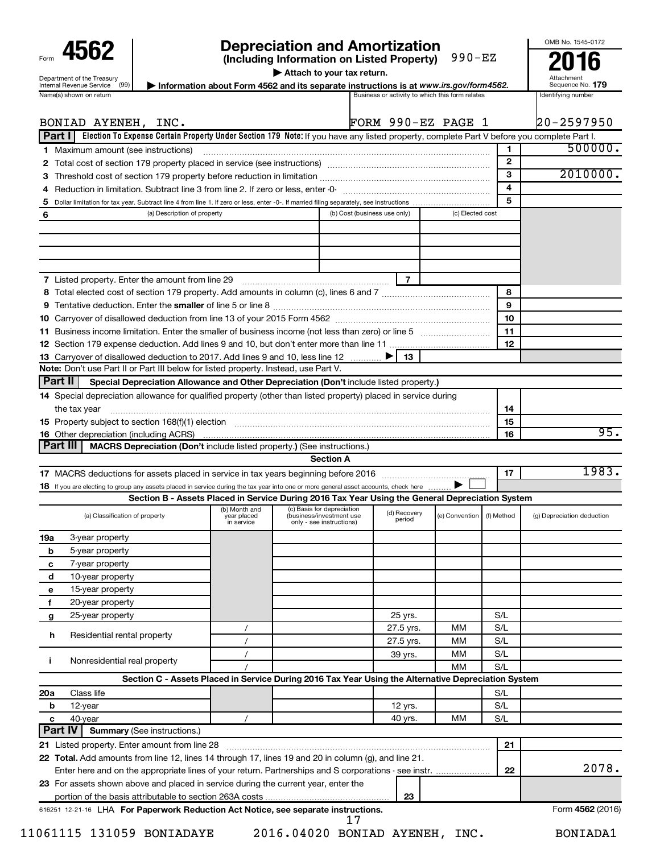| Form                                                          |
|---------------------------------------------------------------|
| Department of the Treasury<br><b>Internal Revenue Service</b> |
| $\cdots$ $\cdots$ $\cdots$                                    |

## **4562 Depreciation and Amortization**<br>
(Including Information on Listed Property) 990-EZ<br>
2016

OMB No. 1545-0172

**| Attach to your tax return.**

| Department of the Treasury<br>(99)<br>Internal Revenue Service | - Information about Form 4562 and its separate instructions is at www.irs.gov/form4562. | Attachment<br>Sequence No. 179 |
|----------------------------------------------------------------|-----------------------------------------------------------------------------------------|--------------------------------|
| Name(s) shown on return                                        | Business or activity to which this form relates                                         | Identifying number             |
|                                                                |                                                                                         |                                |

|                | BONIAD AYENEH, INC.                                                                                                                                                                                                         |                              |                                                        |                              |                        | FORM 990-EZ PAGE 1 |                         | $20 - 2597950$             |
|----------------|-----------------------------------------------------------------------------------------------------------------------------------------------------------------------------------------------------------------------------|------------------------------|--------------------------------------------------------|------------------------------|------------------------|--------------------|-------------------------|----------------------------|
|                | Part I   Election To Expense Certain Property Under Section 179 Note: If you have any listed property, complete Part V before you complete Part I.                                                                          |                              |                                                        |                              |                        |                    |                         |                            |
|                | <b>1</b> Maximum amount (see instructions)                                                                                                                                                                                  |                              |                                                        |                              |                        |                    | $\mathbf{1}$            | 500000.                    |
|                |                                                                                                                                                                                                                             |                              |                                                        |                              |                        |                    | $\mathbf{2}$            |                            |
| З              | Threshold cost of section 179 property before reduction in limitation measurements are all the section 179 property before reduction in limitation measurements and the section 179 property before reduction in limitation |                              |                                                        |                              |                        |                    | 3                       | 2010000.                   |
| 4              |                                                                                                                                                                                                                             |                              |                                                        |                              |                        |                    | $\overline{\mathbf{4}}$ |                            |
| 5              |                                                                                                                                                                                                                             |                              |                                                        |                              |                        |                    | 5                       |                            |
| 6              | (a) Description of property                                                                                                                                                                                                 |                              |                                                        | (b) Cost (business use only) |                        | (c) Elected cost   |                         |                            |
|                |                                                                                                                                                                                                                             |                              |                                                        |                              |                        |                    |                         |                            |
|                |                                                                                                                                                                                                                             |                              |                                                        |                              |                        |                    |                         |                            |
|                |                                                                                                                                                                                                                             |                              |                                                        |                              |                        |                    |                         |                            |
|                | 7 Listed property. Enter the amount from line 29 [11] [12] [12] Listed property. Enter the amount from line 29                                                                                                              |                              |                                                        |                              | $\overline{7}$         |                    |                         |                            |
|                |                                                                                                                                                                                                                             |                              |                                                        |                              |                        |                    | 8                       |                            |
|                |                                                                                                                                                                                                                             |                              |                                                        |                              |                        |                    | 9                       |                            |
|                |                                                                                                                                                                                                                             |                              |                                                        |                              |                        |                    | 10                      |                            |
| 11.            | Business income limitation. Enter the smaller of business income (not less than zero) or line 5                                                                                                                             |                              |                                                        |                              |                        |                    | 11                      |                            |
|                |                                                                                                                                                                                                                             |                              |                                                        |                              |                        |                    | 12                      |                            |
|                | 13 Carryover of disallowed deduction to 2017. Add lines 9 and 10, less line 12                                                                                                                                              |                              |                                                        |                              | 13                     |                    |                         |                            |
|                | Note: Don't use Part II or Part III below for listed property. Instead, use Part V.                                                                                                                                         |                              |                                                        |                              |                        |                    |                         |                            |
| Part II        | Special Depreciation Allowance and Other Depreciation (Don't include listed property.)                                                                                                                                      |                              |                                                        |                              |                        |                    |                         |                            |
|                | 14 Special depreciation allowance for qualified property (other than listed property) placed in service during                                                                                                              |                              |                                                        |                              |                        |                    |                         |                            |
|                | the tax year                                                                                                                                                                                                                |                              |                                                        |                              |                        |                    | 14                      |                            |
|                | 15 Property subject to section 168(f)(1) election manufactured contains and contained a property subject to section 168(f)(1) election                                                                                      |                              |                                                        |                              |                        |                    | 15                      | 95.                        |
|                | <b>16</b> Other depreciation (including ACRS)<br>Part III<br>MACRS Depreciation (Don't include listed property.) (See instructions.)                                                                                        |                              |                                                        |                              |                        |                    | 16                      |                            |
|                |                                                                                                                                                                                                                             |                              | <b>Section A</b>                                       |                              |                        |                    |                         |                            |
|                | Section B - Assets Placed in Service During 2016 Tax Year Using the General Depreciation System<br>(a) Classification of property                                                                                           | (b) Month and<br>year placed | (c) Basis for depreciation<br>(business/investment use |                              | (d) Recovery<br>period | (e) Convention     | (f) Method              | (g) Depreciation deduction |
|                |                                                                                                                                                                                                                             | in service                   | only - see instructions)                               |                              |                        |                    |                         |                            |
| 19a            | 3-year property                                                                                                                                                                                                             |                              |                                                        |                              |                        |                    |                         |                            |
| b              | 5-year property                                                                                                                                                                                                             |                              |                                                        |                              |                        |                    |                         |                            |
| c              | 7-year property                                                                                                                                                                                                             |                              |                                                        |                              |                        |                    |                         |                            |
| d              | 10-year property                                                                                                                                                                                                            |                              |                                                        |                              |                        |                    |                         |                            |
| е              | 15-year property                                                                                                                                                                                                            |                              |                                                        |                              |                        |                    |                         |                            |
| f              | 20-year property                                                                                                                                                                                                            |                              |                                                        |                              |                        |                    | S/L                     |                            |
| g              | 25-year property                                                                                                                                                                                                            |                              |                                                        |                              | 25 yrs.<br>27.5 yrs.   | МM                 | S/L                     |                            |
| h              | Residential rental property                                                                                                                                                                                                 |                              |                                                        |                              | 27.5 yrs.              | MM                 | S/L                     |                            |
|                |                                                                                                                                                                                                                             |                              |                                                        |                              | 39 yrs.                | MM                 | S/L                     |                            |
| Ť.             | Nonresidential real property                                                                                                                                                                                                |                              |                                                        |                              |                        | MM                 | S/L                     |                            |
|                | Section C - Assets Placed in Service During 2016 Tax Year Using the Alternative Depreciation System                                                                                                                         |                              |                                                        |                              |                        |                    |                         |                            |
| 20a            | Class life                                                                                                                                                                                                                  |                              |                                                        |                              |                        |                    | S/L                     |                            |
| b              | 12-year                                                                                                                                                                                                                     |                              |                                                        |                              | 12 yrs.                |                    | S/L                     |                            |
| c              | 40-year                                                                                                                                                                                                                     |                              |                                                        |                              | 40 yrs.                | МM                 | S/L                     |                            |
| <b>Part IV</b> | <b>Summary (See instructions.)</b>                                                                                                                                                                                          |                              |                                                        |                              |                        |                    |                         |                            |
|                | 21 Listed property. Enter amount from line 28                                                                                                                                                                               |                              |                                                        |                              |                        |                    | 21                      |                            |
|                | 22 Total. Add amounts from line 12, lines 14 through 17, lines 19 and 20 in column (g), and line 21.                                                                                                                        |                              |                                                        |                              |                        |                    |                         |                            |
|                | Enter here and on the appropriate lines of your return. Partnerships and S corporations - see instr.                                                                                                                        |                              |                                                        |                              |                        |                    | 22                      | 2078.                      |
|                | 23 For assets shown above and placed in service during the current year, enter the                                                                                                                                          |                              |                                                        |                              |                        |                    |                         |                            |
|                |                                                                                                                                                                                                                             |                              |                                                        |                              | 23                     |                    |                         |                            |
|                | 616251 12-21-16 LHA For Paperwork Reduction Act Notice, see separate instructions.                                                                                                                                          |                              |                                                        |                              |                        |                    |                         | Form 4562 (2016)           |
|                | 11061115 131059 BONIADAYE                                                                                                                                                                                                   |                              | 2016.04020 BONIAD AYENEH, INC.                         | 17                           |                        |                    |                         | BONIADA1                   |
|                |                                                                                                                                                                                                                             |                              |                                                        |                              |                        |                    |                         |                            |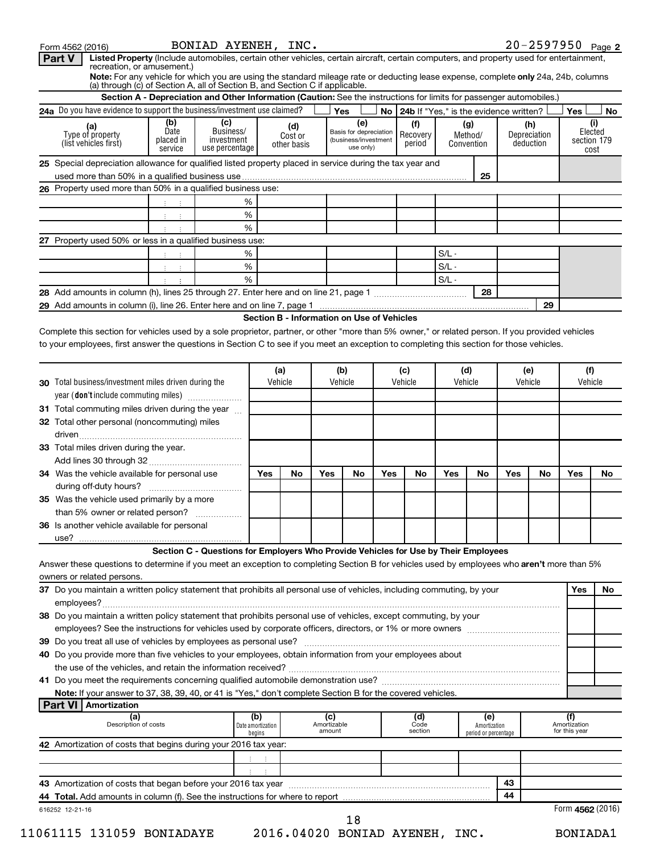| Part V<br>Listed Property (Include automobiles, certain other vehicles, certain aircraft, certain computers, and property used for entertainment,<br>recreation, or amusement.)                                     |                                     |                                                                                                                      |                                    |                                            |                              |                                                                    |     |                                             |                    |                                             |     |                                  |                                      |                                       |
|---------------------------------------------------------------------------------------------------------------------------------------------------------------------------------------------------------------------|-------------------------------------|----------------------------------------------------------------------------------------------------------------------|------------------------------------|--------------------------------------------|------------------------------|--------------------------------------------------------------------|-----|---------------------------------------------|--------------------|---------------------------------------------|-----|----------------------------------|--------------------------------------|---------------------------------------|
| Note: For any vehicle for which you are using the standard mileage rate or deducting lease expense, complete only 24a, 24b, columns<br>(a) through (c) of Section A, all of Section B, and Section C if applicable. |                                     |                                                                                                                      |                                    |                                            |                              |                                                                    |     |                                             |                    |                                             |     |                                  |                                      |                                       |
|                                                                                                                                                                                                                     |                                     | Section A - Depreciation and Other Information (Caution: See the instructions for limits for passenger automobiles.) |                                    |                                            |                              |                                                                    |     |                                             |                    |                                             |     |                                  |                                      |                                       |
| 24a Do you have evidence to support the business/investment use claimed?                                                                                                                                            |                                     |                                                                                                                      |                                    |                                            |                              | Yes                                                                |     | No   24b If "Yes," is the evidence written? |                    |                                             |     |                                  | Yes                                  | No                                    |
| (a)<br>Type of property<br>(list vehicles first)                                                                                                                                                                    | (b)<br>Date<br>placed in<br>service | (c)<br>Business/<br>investment<br>use percentage                                                                     |                                    | (d)<br>Cost or<br>other basis              |                              | (e)<br>Basis for depreciation<br>(business/investment<br>use only) |     | (f)<br>Recovery<br>period                   |                    | (g)<br>Method/<br>Convention                |     | (h)<br>Depreciation<br>deduction |                                      | (i)<br>Elected<br>section 179<br>cost |
| 25 Special depreciation allowance for qualified listed property placed in service during the tax year and                                                                                                           |                                     |                                                                                                                      |                                    |                                            |                              |                                                                    |     |                                             |                    |                                             |     |                                  |                                      |                                       |
|                                                                                                                                                                                                                     |                                     |                                                                                                                      |                                    |                                            |                              |                                                                    |     |                                             |                    | 25                                          |     |                                  |                                      |                                       |
| 26 Property used more than 50% in a qualified business use:                                                                                                                                                         |                                     |                                                                                                                      |                                    |                                            |                              |                                                                    |     |                                             |                    |                                             |     |                                  |                                      |                                       |
|                                                                                                                                                                                                                     | ÷                                   |                                                                                                                      | %                                  |                                            |                              |                                                                    |     |                                             |                    |                                             |     |                                  |                                      |                                       |
|                                                                                                                                                                                                                     | ÷<br>÷                              |                                                                                                                      | $\%$                               |                                            |                              |                                                                    |     |                                             |                    |                                             |     |                                  |                                      |                                       |
|                                                                                                                                                                                                                     |                                     |                                                                                                                      | %                                  |                                            |                              |                                                                    |     |                                             |                    |                                             |     |                                  |                                      |                                       |
| 27 Property used 50% or less in a qualified business use:                                                                                                                                                           |                                     |                                                                                                                      |                                    |                                            |                              |                                                                    |     |                                             |                    |                                             |     |                                  |                                      |                                       |
|                                                                                                                                                                                                                     |                                     |                                                                                                                      | %                                  |                                            |                              |                                                                    |     |                                             | $S/L -$            |                                             |     |                                  |                                      |                                       |
|                                                                                                                                                                                                                     | ÷<br>÷                              |                                                                                                                      | $\%$<br>%                          |                                            |                              |                                                                    |     |                                             | $S/L -$<br>$S/L -$ |                                             |     |                                  |                                      |                                       |
|                                                                                                                                                                                                                     |                                     |                                                                                                                      |                                    |                                            |                              |                                                                    |     |                                             |                    | 28                                          |     |                                  |                                      |                                       |
|                                                                                                                                                                                                                     |                                     |                                                                                                                      |                                    |                                            |                              |                                                                    |     |                                             |                    |                                             |     | 29                               |                                      |                                       |
|                                                                                                                                                                                                                     |                                     |                                                                                                                      |                                    | Section B - Information on Use of Vehicles |                              |                                                                    |     |                                             |                    |                                             |     |                                  |                                      |                                       |
| Complete this section for vehicles used by a sole proprietor, partner, or other "more than 5% owner," or related person. If you provided vehicles                                                                   |                                     |                                                                                                                      |                                    |                                            |                              |                                                                    |     |                                             |                    |                                             |     |                                  |                                      |                                       |
| to your employees, first answer the questions in Section C to see if you meet an exception to completing this section for those vehicles.                                                                           |                                     |                                                                                                                      |                                    |                                            |                              |                                                                    |     |                                             |                    |                                             |     |                                  |                                      |                                       |
|                                                                                                                                                                                                                     |                                     |                                                                                                                      |                                    |                                            |                              |                                                                    |     |                                             |                    |                                             |     |                                  |                                      |                                       |
|                                                                                                                                                                                                                     |                                     |                                                                                                                      |                                    | (a)                                        |                              | (b)                                                                |     | (c)                                         | (d)                |                                             |     | (e)                              | (f)                                  |                                       |
| 30 Total business/investment miles driven during the                                                                                                                                                                |                                     |                                                                                                                      |                                    | Vehicle                                    |                              | Vehicle                                                            |     | Vehicle                                     | Vehicle            |                                             |     | Vehicle                          | Vehicle                              |                                       |
| year (don't include commuting miles)                                                                                                                                                                                |                                     |                                                                                                                      |                                    |                                            |                              |                                                                    |     |                                             |                    |                                             |     |                                  |                                      |                                       |
| 31 Total commuting miles driven during the year                                                                                                                                                                     |                                     |                                                                                                                      |                                    |                                            |                              |                                                                    |     |                                             |                    |                                             |     |                                  |                                      |                                       |
| 32 Total other personal (noncommuting) miles                                                                                                                                                                        |                                     |                                                                                                                      |                                    |                                            |                              |                                                                    |     |                                             |                    |                                             |     |                                  |                                      |                                       |
|                                                                                                                                                                                                                     |                                     |                                                                                                                      |                                    |                                            |                              |                                                                    |     |                                             |                    |                                             |     |                                  |                                      |                                       |
| <b>33</b> Total miles driven during the year.                                                                                                                                                                       |                                     |                                                                                                                      |                                    |                                            |                              |                                                                    |     |                                             |                    |                                             |     |                                  |                                      |                                       |
|                                                                                                                                                                                                                     |                                     |                                                                                                                      |                                    |                                            |                              |                                                                    |     |                                             |                    |                                             |     |                                  |                                      |                                       |
| 34 Was the vehicle available for personal use                                                                                                                                                                       | Yes                                 | No                                                                                                                   | Yes                                | No                                         | Yes                          | No                                                                 | Yes | No                                          | <b>Yes</b>         | No                                          | Yes | No.                              |                                      |                                       |
|                                                                                                                                                                                                                     |                                     |                                                                                                                      |                                    |                                            |                              |                                                                    |     |                                             |                    |                                             |     |                                  |                                      |                                       |
| 35 Was the vehicle used primarily by a more                                                                                                                                                                         |                                     |                                                                                                                      |                                    |                                            |                              |                                                                    |     |                                             |                    |                                             |     |                                  |                                      |                                       |
| than 5% owner or related person?                                                                                                                                                                                    |                                     | .                                                                                                                    |                                    |                                            |                              |                                                                    |     |                                             |                    |                                             |     |                                  |                                      |                                       |
| 36 Is another vehicle available for personal                                                                                                                                                                        |                                     |                                                                                                                      |                                    |                                            |                              |                                                                    |     |                                             |                    |                                             |     |                                  |                                      |                                       |
| use?                                                                                                                                                                                                                |                                     |                                                                                                                      |                                    |                                            |                              |                                                                    |     |                                             |                    |                                             |     |                                  |                                      |                                       |
| Answer these questions to determine if you meet an exception to completing Section B for vehicles used by employees who aren't more than 5%                                                                         |                                     | Section C - Questions for Employers Who Provide Vehicles for Use by Their Employees                                  |                                    |                                            |                              |                                                                    |     |                                             |                    |                                             |     |                                  |                                      |                                       |
| owners or related persons.                                                                                                                                                                                          |                                     |                                                                                                                      |                                    |                                            |                              |                                                                    |     |                                             |                    |                                             |     |                                  |                                      |                                       |
| 37 Do you maintain a written policy statement that prohibits all personal use of vehicles, including commuting, by your                                                                                             |                                     |                                                                                                                      |                                    |                                            |                              |                                                                    |     |                                             |                    |                                             |     |                                  | <b>Yes</b>                           | No.                                   |
|                                                                                                                                                                                                                     |                                     |                                                                                                                      |                                    |                                            |                              |                                                                    |     |                                             |                    |                                             |     |                                  |                                      |                                       |
| 38 Do you maintain a written policy statement that prohibits personal use of vehicles, except commuting, by your                                                                                                    |                                     |                                                                                                                      |                                    |                                            |                              |                                                                    |     |                                             |                    |                                             |     |                                  |                                      |                                       |
|                                                                                                                                                                                                                     |                                     |                                                                                                                      |                                    |                                            |                              |                                                                    |     |                                             |                    |                                             |     |                                  |                                      |                                       |
|                                                                                                                                                                                                                     |                                     |                                                                                                                      |                                    |                                            |                              |                                                                    |     |                                             |                    |                                             |     |                                  |                                      |                                       |
| 40 Do you provide more than five vehicles to your employees, obtain information from your employees about                                                                                                           |                                     |                                                                                                                      |                                    |                                            |                              |                                                                    |     |                                             |                    |                                             |     |                                  |                                      |                                       |
|                                                                                                                                                                                                                     |                                     |                                                                                                                      |                                    |                                            |                              |                                                                    |     |                                             |                    |                                             |     |                                  |                                      |                                       |
|                                                                                                                                                                                                                     |                                     |                                                                                                                      |                                    |                                            |                              |                                                                    |     |                                             |                    |                                             |     |                                  |                                      |                                       |
| Note: If your answer to 37, 38, 39, 40, or 41 is "Yes," don't complete Section B for the covered vehicles.                                                                                                          |                                     |                                                                                                                      |                                    |                                            |                              |                                                                    |     |                                             |                    |                                             |     |                                  |                                      |                                       |
| <b>Part VI   Amortization</b>                                                                                                                                                                                       |                                     |                                                                                                                      |                                    |                                            |                              |                                                                    |     |                                             |                    |                                             |     |                                  |                                      |                                       |
| (a)<br>Description of costs                                                                                                                                                                                         |                                     |                                                                                                                      | (b)<br>Date amortization<br>begins |                                            | (c)<br>Amortizable<br>amount |                                                                    |     | (d)<br>Code<br>section                      |                    | (e)<br>Amortization<br>period or percentage |     |                                  | (f)<br>Amortization<br>for this year |                                       |
| 42 Amortization of costs that begins during your 2016 tax year:                                                                                                                                                     |                                     |                                                                                                                      |                                    |                                            |                              |                                                                    |     |                                             |                    |                                             |     |                                  |                                      |                                       |
|                                                                                                                                                                                                                     |                                     |                                                                                                                      |                                    |                                            |                              |                                                                    |     |                                             |                    |                                             |     |                                  |                                      |                                       |
|                                                                                                                                                                                                                     |                                     |                                                                                                                      |                                    |                                            |                              |                                                                    |     |                                             |                    |                                             |     |                                  |                                      |                                       |
| 43 Amortization of costs that began before your 2016 tax year                                                                                                                                                       |                                     |                                                                                                                      |                                    |                                            |                              |                                                                    |     |                                             |                    |                                             | 43  |                                  |                                      |                                       |
| 44 Total. Add amounts in column (f). See the instructions for where to report                                                                                                                                       |                                     |                                                                                                                      |                                    |                                            |                              |                                                                    |     |                                             |                    |                                             | 44  |                                  |                                      |                                       |
| 616252 12-21-16                                                                                                                                                                                                     |                                     |                                                                                                                      |                                    |                                            |                              |                                                                    |     |                                             |                    |                                             |     |                                  | Form 4562 (2016)                     |                                       |
|                                                                                                                                                                                                                     |                                     |                                                                                                                      |                                    |                                            |                              | 18                                                                 |     |                                             |                    |                                             |     |                                  |                                      |                                       |

Form 4562 (2016) Page *BONIAD AYENEH, INC. 20-2597950*

*11061115 131059 BONIADAYE 2016.04020 BONIAD AYENEH, INC. BONIADA1*

20-2597950 Page 2